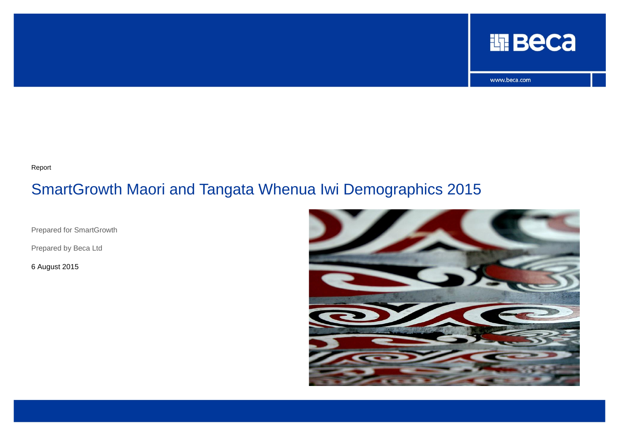

www.beca.com

Report

# SmartGrowth Maori and Tangata Whenua Iwi Demographics 2015

Prepared for SmartGrowth

Prepared by Beca Ltd

6 August 2015

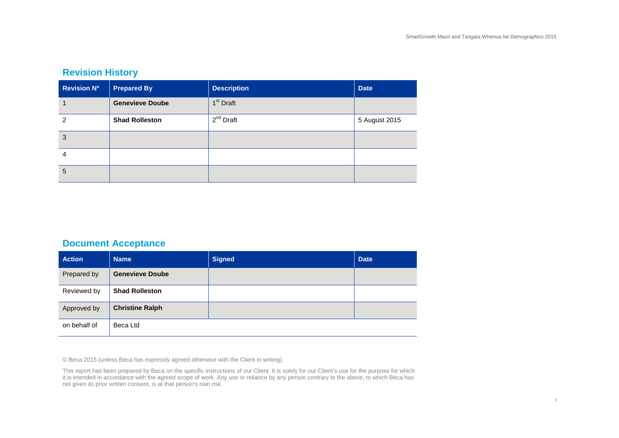### **Revision History**

| <b>Revision Nº</b> | <b>Prepared By</b>     | <b>Description</b>    | <b>Date</b>   |
|--------------------|------------------------|-----------------------|---------------|
|                    | <b>Genevieve Doube</b> | 1 <sup>st</sup> Draft |               |
| 2                  | <b>Shad Rolleston</b>  | $2^{nd}$ Draft        | 5 August 2015 |
| 3                  |                        |                       |               |
| 4                  |                        |                       |               |
| 5                  |                        |                       |               |

#### **Document Acceptance**

| <b>Action</b> | <b>Name</b>            | <b>Signed</b> | <b>Date</b> |
|---------------|------------------------|---------------|-------------|
| Prepared by   | <b>Genevieve Doube</b> |               |             |
| Reviewed by   | <b>Shad Rolleston</b>  |               |             |
| Approved by   | <b>Christine Ralph</b> |               |             |
| on behalf of  | Beca Ltd               |               |             |

© Beca 2015 (unless Beca has expressly agreed otherwise with the Client in writing).

This report has been prepared by Beca on the specific instructions of our Client. It is solely for our Client's use for the purpose for which it is intended in accordance with the agreed scope of work. Any use or reliance by any person contrary to the above, to which Beca has not given its prior written consent, is at that person's own risk.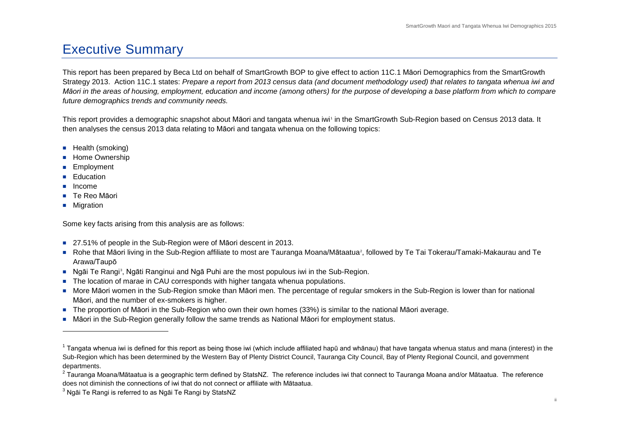# <span id="page-2-2"></span><span id="page-2-1"></span><span id="page-2-0"></span>Executive Summary

This report has been prepared by Beca Ltd on behalf of SmartGrowth BOP to give effect to action 11C.1 Māori Demographics from the SmartGrowth Strategy 2013. Action 11C.1 states: *Prepare a report from 2013 census data (and document methodology used) that relates to tangata whenua iwi and Māori in the areas of housing, employment, education and income (among others) for the purpose of developing a base platform from which to compare future demographics trends and community needs.*

This report provides a demographic snapshot about Māori and tangata whenua iwi<sup>[1](#page-2-0)</sup> in the SmartGrowth Sub-Region based on Census 2013 data. It then analyses the census 2013 data relating to Māori and tangata whenua on the following topics:

- $\blacksquare$  Health (smoking)
- Home Ownership
- **Employment**
- **Education**
- **Income**
- Te Reo Māori
- **Migration**

-

Some key facts arising from this analysis are as follows:

- 27.51% of people in the Sub-Region were of Māori descent in 2013.
- Rohe that Māori living in the Sub-Region affiliate to most are Tauranga Moana/Mātaatua<sup>[2](#page-2-1)</sup>, followed by Te Tai Tokerau/Tamaki-Makaurau and Te Arawa/Taupō
- Ngāi Te Rangi<sup>[3](#page-2-2)</sup>, Ngāti Ranginui and Ngā Puhi are the most populous iwi in the Sub-Region.
- The location of marae in CAU corresponds with higher tangata whenua populations.
- More Māori women in the Sub-Region smoke than Māori men. The percentage of regular smokers in the Sub-Region is lower than for national Māori, and the number of ex-smokers is higher.
- The proportion of Māori in the Sub-Region who own their own homes (33%) is similar to the national Māori average.
- Māori in the Sub-Region generally follow the same trends as National Māori for employment status.

 $1$  Tangata whenua iwi is defined for this report as being those iwi (which include affiliated hapū and whānau) that have tangata whenua status and mana (interest) in the Sub-Region which has been determined by the Western Bay of Plenty District Council, Tauranga City Council, Bay of Plenty Regional Council, and government departments.

 $2$  Tauranga Moana/Mātaatua is a geographic term defined by StatsNZ. The reference includes iwi that connect to Tauranga Moana and/or Mātaatua. The reference does not diminish the connections of iwi that do not connect or affiliate with Mātaatua.

 $3$  Ngāi Te Rangi is referred to as Ngāi Te Rangi by StatsNZ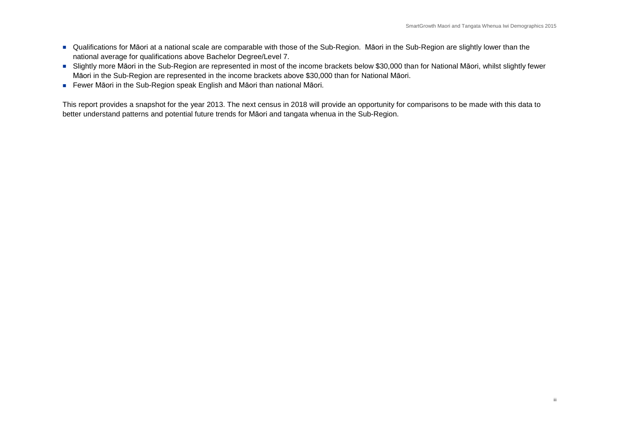- Qualifications for Māori at a national scale are comparable with those of the Sub-Region. Māori in the Sub-Region are slightly lower than the national average for qualifications above Bachelor Degree/Level 7.
- Slightly more Māori in the Sub-Region are represented in most of the income brackets below \$30,000 than for National Māori, whilst slightly fewer Māori in the Sub-Region are represented in the income brackets above \$30,000 than for National Māori.
- Fewer Māori in the Sub-Region speak English and Māori than national Māori.

This report provides a snapshot for the year 2013. The next census in 2018 will provide an opportunity for comparisons to be made with this data to better understand patterns and potential future trends for Māori and tangata whenua in the Sub-Region.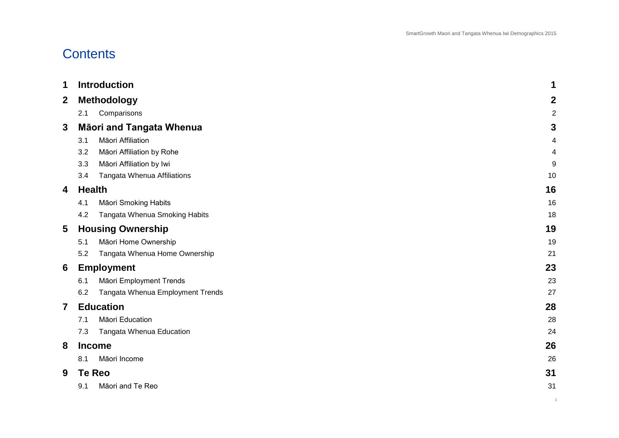# **Contents**

| 1 | <b>Introduction</b>                       | 1                |
|---|-------------------------------------------|------------------|
| 2 | <b>Methodology</b>                        | $\boldsymbol{2}$ |
|   | Comparisons<br>2.1                        | $\boldsymbol{2}$ |
| 3 | <b>Māori and Tangata Whenua</b>           | 3                |
|   | Māori Affiliation<br>3.1                  | 4                |
|   | Māori Affiliation by Rohe<br>3.2          | 4                |
|   | Māori Affiliation by Iwi<br>3.3           | 9                |
|   | <b>Tangata Whenua Affiliations</b><br>3.4 | 10               |
| 4 | <b>Health</b>                             | 16               |
|   | Māori Smoking Habits<br>4.1               | 16               |
|   | Tangata Whenua Smoking Habits<br>4.2      | 18               |
| 5 | <b>Housing Ownership</b>                  | 19               |
|   | Māori Home Ownership<br>5.1               | 19               |
|   | Tangata Whenua Home Ownership<br>5.2      | 21               |
| 6 | <b>Employment</b>                         | 23               |
|   | Māori Employment Trends<br>6.1            | 23               |
|   | Tangata Whenua Employment Trends<br>6.2   | 27               |
| 7 | <b>Education</b>                          | 28               |
|   | Māori Education<br>7.1                    | 28               |
|   | Tangata Whenua Education<br>7.3           | 24               |
| 8 | <b>Income</b>                             | 26               |
|   | Māori Income<br>8.1                       | 26               |
| 9 | <b>Te Reo</b>                             | 31               |
|   | Māori and Te Reo<br>9.1                   | 31               |
|   |                                           | $\mathbf{i}$     |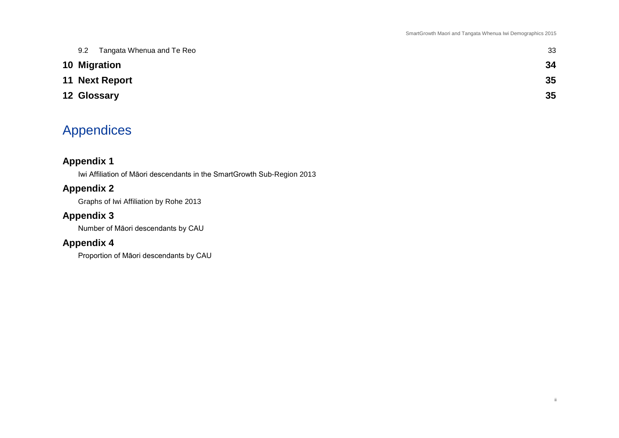| 9.2 | Tangata Whenua and Te Reo | 33 |
|-----|---------------------------|----|
|     | 10 Migration              | 34 |
|     | 11 Next Report            | 35 |
|     | 12 Glossary               | 35 |

# Appendices

### **Appendix 1**

Iwi Affiliation of Māori descendants in the SmartGrowth Sub-Region 2013

### **Appendix 2**

Graphs of Iwi Affiliation by Rohe 2013

### **Appendix 3**

Number of Māori descendants by CAU

### **Appendix 4**

Proportion of Māori descendants by CAU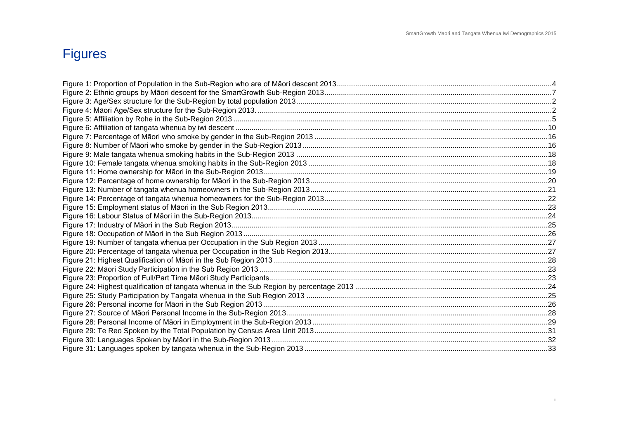# **Figures**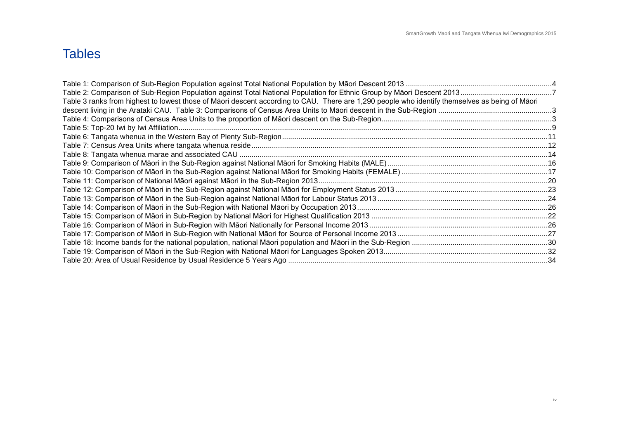## **Tables**

| Table 3 ranks from highest to lowest those of Māori descent according to CAU. There are 1,290 people who identify themselves as being of Māori |  |
|------------------------------------------------------------------------------------------------------------------------------------------------|--|
|                                                                                                                                                |  |
|                                                                                                                                                |  |
|                                                                                                                                                |  |
|                                                                                                                                                |  |
|                                                                                                                                                |  |
|                                                                                                                                                |  |
|                                                                                                                                                |  |
|                                                                                                                                                |  |
|                                                                                                                                                |  |
|                                                                                                                                                |  |
|                                                                                                                                                |  |
|                                                                                                                                                |  |
|                                                                                                                                                |  |
|                                                                                                                                                |  |
|                                                                                                                                                |  |
|                                                                                                                                                |  |
|                                                                                                                                                |  |
|                                                                                                                                                |  |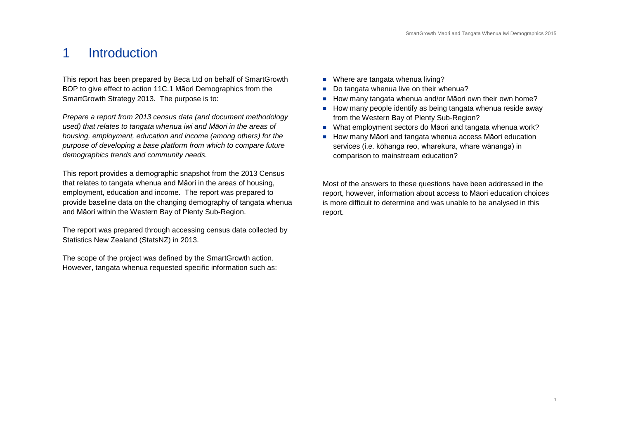# 1 Introduction

This report has been prepared by Beca Ltd on behalf of SmartGrowth BOP to give effect to action 11C.1 Māori Demographics from the SmartGrowth Strategy 2013. The purpose is to:

*Prepare a report from 2013 census data (and document methodology used) that relates to tangata whenua iwi and Māori in the areas of housing, employment, education and income (among others) for the purpose of developing a base platform from which to compare future demographics trends and community needs.*

This report provides a demographic snapshot from the 2013 Census that relates to tangata whenua and Māori in the areas of housing, employment, education and income. The report was prepared to provide baseline data on the changing demography of tangata whenua and Māori within the Western Bay of Plenty Sub-Region.

The report was prepared through accessing census data collected by Statistics New Zealand (StatsNZ) in 2013.

The scope of the project was defined by the SmartGrowth action. However, tangata whenua requested specific information such as:

- Where are tangata whenua living?
- Do tangata whenua live on their whenua?
- How many tangata whenua and/or Māori own their own home?
- $\blacksquare$  How many people identify as being tangata whenua reside away from the Western Bay of Plenty Sub-Region?
- What employment sectors do Māori and tangata whenua work?
- **How many Māori and tangata whenua access Māori education** services (i.e. kōhanga reo, wharekura, whare wānanga) in comparison to mainstream education?

Most of the answers to these questions have been addressed in the report, however, information about access to Māori education choices is more difficult to determine and was unable to be analysed in this report.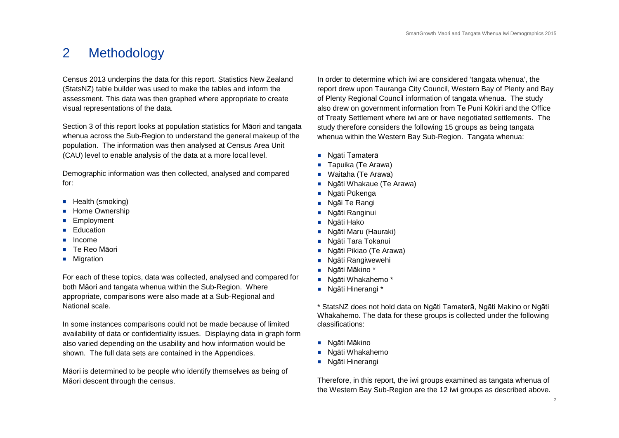# 2 Methodology

Census 2013 underpins the data for this report. Statistics New Zealand (StatsNZ) table builder was used to make the tables and inform the assessment. This data was then graphed where appropriate to create visual representations of the data.

Section 3 of this report looks at population statistics for Māori and tangata whenua across the Sub-Region to understand the general makeup of the population. The information was then analysed at Census Area Unit (CAU) level to enable analysis of the data at a more local level.

Demographic information was then collected, analysed and compared for:

- $H$ ealth (smoking)
- **Home Ownership**
- **Employment**
- **Education**
- Income
- Te Reo Māori
- **Migration**

For each of these topics, data was collected, analysed and compared for both Māori and tangata whenua within the Sub-Region. Where appropriate, comparisons were also made at a Sub-Regional and National scale.

In some instances comparisons could not be made because of limited availability of data or confidentiality issues. Displaying data in graph form also varied depending on the usability and how information would be shown. The full data sets are contained in the Appendices.

Māori is determined to be people who identify themselves as being of Māori descent through the census.

In order to determine which iwi are considered 'tangata whenua', the report drew upon Tauranga City Council, Western Bay of Plenty and Bay of Plenty Regional Council information of tangata whenua. The study also drew on government information from Te Puni Kōkiri and the Office of Treaty Settlement where iwi are or have negotiated settlements. The study therefore considers the following 15 groups as being tangata whenua within the Western Bay Sub-Region. Tangata whenua:

- Ngāti Tamaterā
- Tapuika (Te Arawa)
- **Waitaha (Te Arawa)**
- Ngāti Whakaue (Te Arawa)
- **N**gāti Pūkenga
- Ngāi Te Rangi
- **Ngāti Ranginui**
- Ngāti Hako
- Ngāti Maru (Hauraki)
- **Ngāti Tara Tokanui**
- **N**GĀti Pikiao (Te Arawa)
- **Ngāti Rangiwewehi**
- Ngāti Mākino \*
- Ngāti Whakahemo \*
- Ngāti Hinerangi \*

\* StatsNZ does not hold data on Ngāti Tamaterā, Ngāti Makino or Ngāti Whakahemo. The data for these groups is collected under the following classifications:

- Ngāti Mākino
- Ngāti Whakahemo
- **Ngāti Hinerangi**

Therefore, in this report, the iwi groups examined as tangata whenua of the Western Bay Sub-Region are the 12 iwi groups as described above.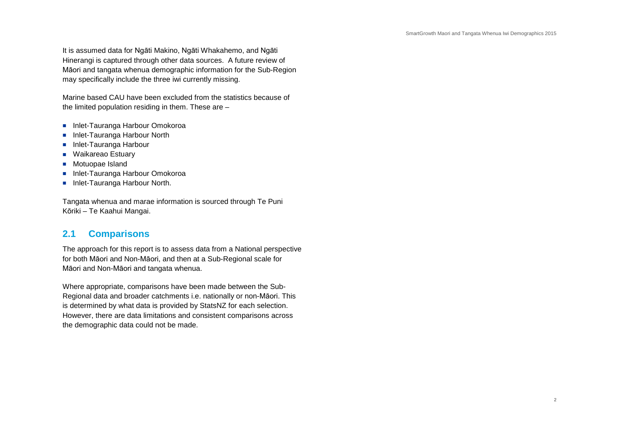It is assumed data for Ngāti Makino, Ngāti Whakahemo, and Ngāti Hinerangi is captured through other data sources. A future review of Māori and tangata whenua demographic information for the Sub-Region may specifically include the three iwi currently missing.

Marine based CAU have been excluded from the statistics because of the limited population residing in them. These are –

- **Inlet-Tauranga Harbour Omokoroa**
- **Inlet-Tauranga Harbour North**
- **Inlet-Tauranga Harbour**
- **Waikareao Estuary**
- **Motuopae Island**
- **Inlet-Tauranga Harbour Omokoroa**
- **Inlet-Tauranga Harbour North.**

Tangata whenua and marae information is sourced through Te Puni Kōriki – Te Kaahui Mangai.

### **2.1 Comparisons**

The approach for this report is to assess data from a National perspective for both Māori and Non-Māori, and then at a Sub-Regional scale for Māori and Non-Māori and tangata whenua.

Where appropriate, comparisons have been made between the Sub-Regional data and broader catchments i.e. nationally or non-Māori. This is determined by what data is provided by StatsNZ for each selection. However, there are data limitations and consistent comparisons across the demographic data could not be made.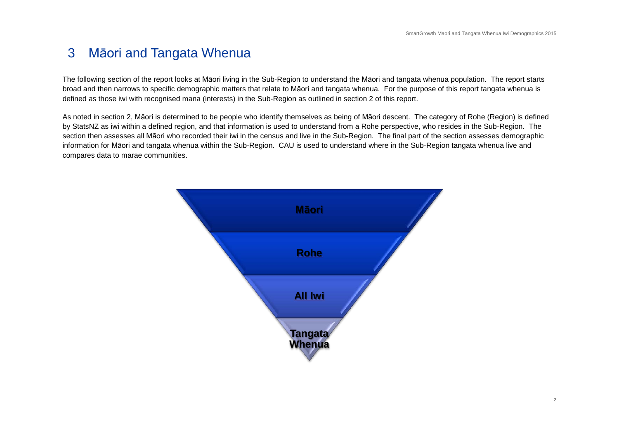# 3 Māori and Tangata Whenua

The following section of the report looks at Māori living in the Sub-Region to understand the Māori and tangata whenua population. The report starts broad and then narrows to specific demographic matters that relate to Māori and tangata whenua. For the purpose of this report tangata whenua is defined as those iwi with recognised mana (interests) in the Sub-Region as outlined in section 2 of this report.

As noted in section 2, Māori is determined to be people who identify themselves as being of Māori descent. The category of Rohe (Region) is defined by StatsNZ as iwi within a defined region, and that information is used to understand from a Rohe perspective, who resides in the Sub-Region. The section then assesses all Māori who recorded their iwi in the census and live in the Sub-Region. The final part of the section assesses demographic information for Māori and tangata whenua within the Sub-Region. CAU is used to understand where in the Sub-Region tangata whenua live and compares data to marae communities.

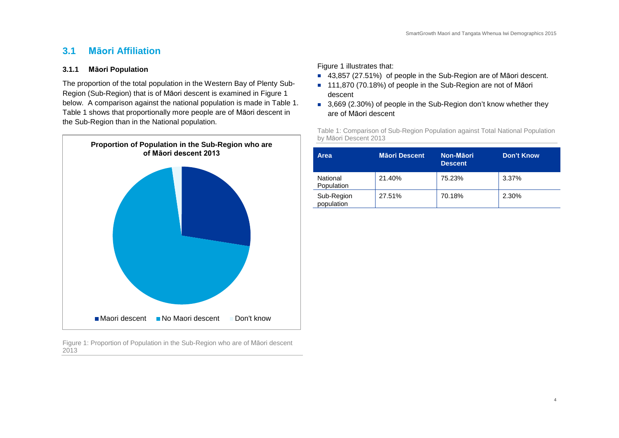### **3.1 Māori Affiliation**

#### **3.1.1 Māori Population**

The proportion of the total population in the Western Bay of Plenty Sub-Region (Sub-Region) that is of Māori descent is examined in [Figure 1](#page-12-0)  below. A comparison against the national population is made in [Table 1.](#page-12-1) [Table](#page-12-1) 1 shows that proportionally more people are of Māori descent in the Sub-Region than in the National population.



<span id="page-12-0"></span>Figure 1: Proportion of Population in the Sub-Region who are of Māori descent 2013

Figure 1 illustrates that:

- 43,857 (27.51%) of people in the Sub-Region are of Māori descent.
- 111,870 (70.18%) of people in the Sub-Region are not of Māori descent
- 3,669 (2.30%) of people in the Sub-Region don't know whether they are of Māori descent

<span id="page-12-1"></span>Table 1: Comparison of Sub-Region Population against Total National Population by Māori Descent 2013

| Area                     | <b>Mäori Descent</b> | Non-Māori<br><b>Descent</b> | Don't Know |
|--------------------------|----------------------|-----------------------------|------------|
| National<br>Population   | 21.40%               | 75.23%                      | 3.37%      |
| Sub-Region<br>population | 27.51%               | 70.18%                      | 2.30%      |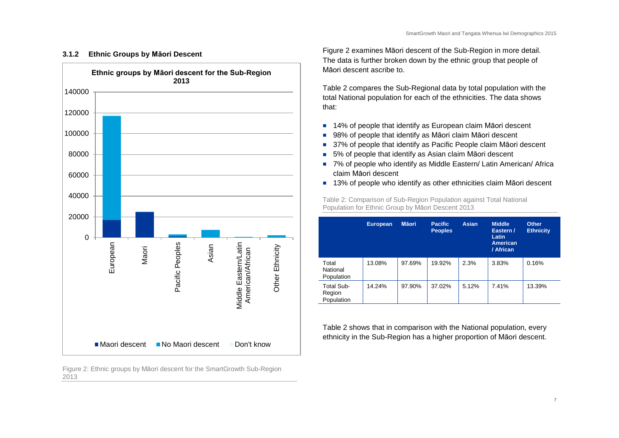### **Ethnic groups by Māori descent for the Sub-Region 2013** 140000 120000 100000 80000 60000 40000 20000  $\Omega$ European Pacific Peoples Middle Eastern/Latin<br>American/African Pacific Peoples Asian Middle Eastern/Latin Maori Other Ethnicity Other Ethnicity American/African  $\blacksquare$  Maori descent  $\blacksquare$  No Maori descent  $\blacksquare$  Don't know

<span id="page-13-0"></span>Figure 2: Ethnic groups by Māori descent for the SmartGrowth Sub-Region 2013

[Figure 2](#page-13-0) examines Māori descent of the Sub-Region in more detail. The data is further broken down by the ethnic group that people of Māori descent ascribe to.

[Table 2](#page-13-1) compares the Sub-Regional data by total population with the total National population for each of the ethnicities. The data shows that:

- 14% of people that identify as European claim Māori descent
- 98% of people that identify as Māori claim Māori descent
- 37% of people that identify as Pacific People claim Māori descent
- 5% of people that identify as Asian claim Māori descent
- 7% of people who identify as Middle Eastern/ Latin American/ Africa claim Māori descent
- 13% of people who identify as other ethnicities claim Māori descent

<span id="page-13-1"></span>Table 2: Comparison of Sub-Region Population against Total National Population for Ethnic Group by Māori Descent 2013

|                                           | <b>European</b> | <b>Mäori</b> | <b>Pacific</b><br><b>Peoples</b> | Asian | <b>Middle</b><br>Eastern /<br>Latin<br><b>American</b><br>/ African | <b>Other</b><br><b>Ethnicity</b> |
|-------------------------------------------|-----------------|--------------|----------------------------------|-------|---------------------------------------------------------------------|----------------------------------|
| Total<br>National<br>Population           | 13.08%          | 97.69%       | 19.92%                           | 2.3%  | 3.83%                                                               | 0.16%                            |
| <b>Total Sub-</b><br>Region<br>Population | 14.24%          | 97.90%       | 37.02%                           | 5.12% | 7.41%                                                               | 13.39%                           |

[Table 2](#page-13-1) shows that in comparison with the National population, every ethnicity in the Sub-Region has a higher proportion of Māori descent.

#### **3.1.2 Ethnic Groups by Māori Descent**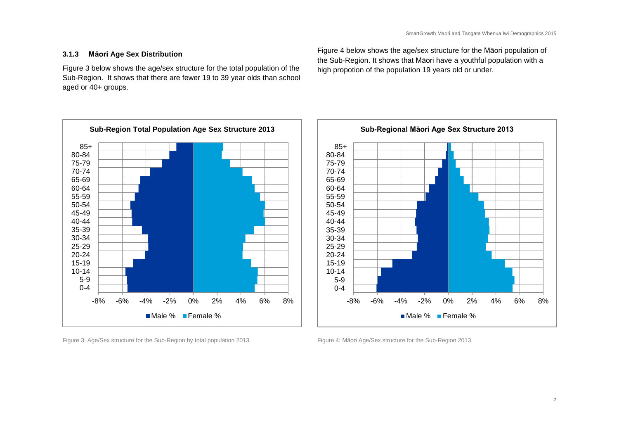#### **3.1.3 Māori Age Sex Distribution**

[Figure 3](#page-14-0) below shows the age/sex structure for the total population of the Sub-Region. It shows that there are fewer 19 to 39 year olds than school aged or 40+ groups.

[Figure 4](#page-14-1) below shows the age/sex structure for the Māori population of the Sub-Region. It shows that Māori have a youthful population with a high propotion of the population 19 years old or under.



<span id="page-14-0"></span>Figure 3: Age/Sex structure for the Sub-Region by total population 2013 Figure 4: Māori Age/Sex structure for the Sub-Region 2013.

<span id="page-14-1"></span>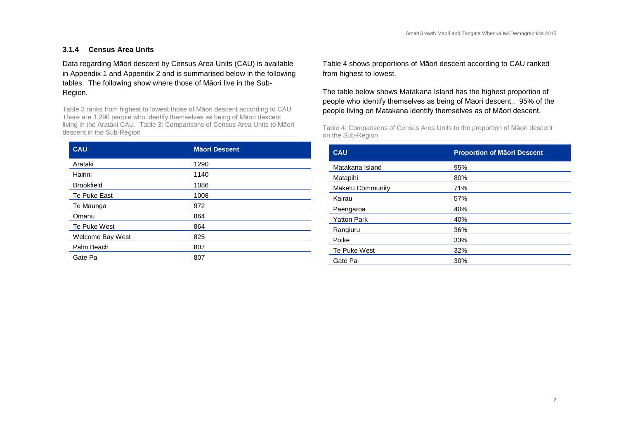#### **3.1.4 Census Area Units**

Data regarding Māori descent by Census Area Units (CAU) is available in Appendix 1 and Appendix 2 and is summarised below in the following tables. The following show where those of Māori live in the Sub-Region.

<span id="page-15-0"></span>Table 3 ranks from highest to lowest those of Māori descent according to CAU. There are 1,290 people who identify themselves as being of Māori descent living in the Arataki CAU. Table 3: Comparisons of Census Area Units to Māori descent in the Sub-Region

| <b>CAU</b>        | <b>Mäori Descent</b> |
|-------------------|----------------------|
| Arataki           | 1290                 |
| Hairini           | 1140                 |
| <b>Brookfield</b> | 1086                 |
| Te Puke East      | 1008                 |
| Te Maunga         | 972                  |
| Omanu             | 864                  |
| Te Puke West      | 864                  |
| Welcome Bay West  | 825                  |
| Palm Beach        | 807                  |
| Gate Pa           | 807                  |

Table 4 shows proportions of Māori descent according to CAU ranked from highest to lowest.

The table below shows Matakana Island has the highest proportion of people who identify themselves as being of Māori descent.. 95% of the people living on Matakana identify themselves as of Māori descent.

<span id="page-15-1"></span>Table 4: Comparisons of Census Area Units to the proportion of Māori descent on the Sub-Region

| <b>CAU</b>              | <b>Proportion of Mäori Descent</b> |
|-------------------------|------------------------------------|
| Matakana Island         | 95%                                |
| Matapihi                | 80%                                |
| <b>Maketu Community</b> | 71%                                |
| Kairau                  | 57%                                |
| Paengaroa               | 40%                                |
| <b>Yatton Park</b>      | 40%                                |
| Rangiuru                | 36%                                |
| Poike                   | 33%                                |
| Te Puke West            | 32%                                |
| Gate Pa                 | 30%                                |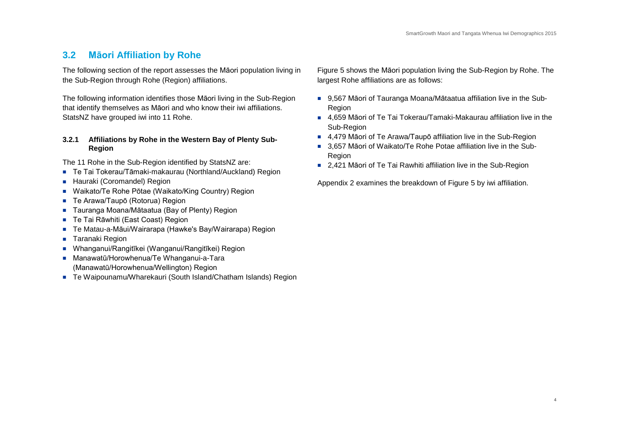### **3.2 Māori Affiliation by Rohe**

The following section of the report assesses the Māori population living in the Sub-Region through Rohe (Region) affiliations.

The following information identifies those Māori living in the Sub-Region that identify themselves as Māori and who know their iwi affiliations. StatsNZ have grouped iwi into 11 Rohe.

#### **3.2.1 Affiliations by Rohe in the Western Bay of Plenty Sub-Region**

The 11 Rohe in the Sub-Region identified by StatsNZ are:

- Te Tai Tokerau/Tāmaki-makaurau (Northland/Auckland) Region
- **Hauraki (Coromandel) Region**
- Waikato/Te Rohe Pōtae (Waikato/King Country) Region
- Te Arawa/Taupō (Rotorua) Region
- Tauranga Moana/Mātaatua (Bay of Plenty) Region
- Te Tai Rāwhiti (East Coast) Region
- Te Matau-a-Māui/Wairarapa (Hawke's Bay/Wairarapa) Region
- Taranaki Region
- Whanganui/Rangitīkei (Wanganui/Rangitīkei) Region
- Manawatū/Horowhenua/Te Whanganui-a-Tara (Manawatū/Horowhenua/Wellington) Region
- Te Waipounamu/Wharekauri (South Island/Chatham Islands) Region

[Figure 5](#page-17-0) shows the Māori population living the Sub-Region by Rohe. The largest Rohe affiliations are as follows:

- 9,567 Māori of Tauranga Moana/Mātaatua affiliation live in the Sub-Region
- 4,659 Māori of Te Tai Tokerau/Tamaki-Makaurau affiliation live in the Sub-Region
- 4,479 Māori of Te Arawa/Taupō affiliation live in the Sub-Region
- 3,657 Māori of Waikato/Te Rohe Potae affiliation live in the Sub-Region
- 2,421 Māori of Te Tai Rawhiti affiliation live in the Sub-Region

Appendix 2 examines the breakdown of [Figure 5](#page-17-0) by iwi affiliation.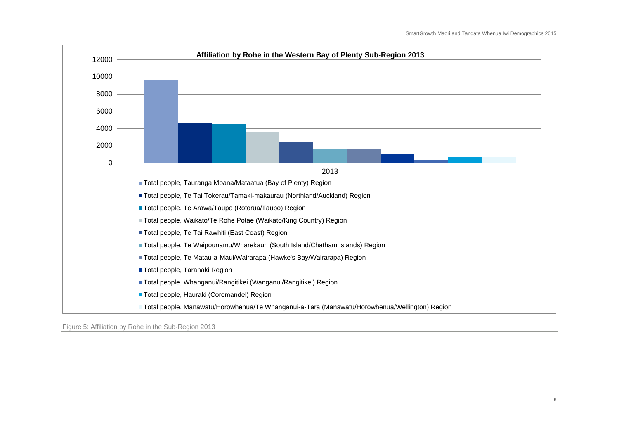

<span id="page-17-0"></span>Figure 5: Affiliation by Rohe in the Sub-Region 2013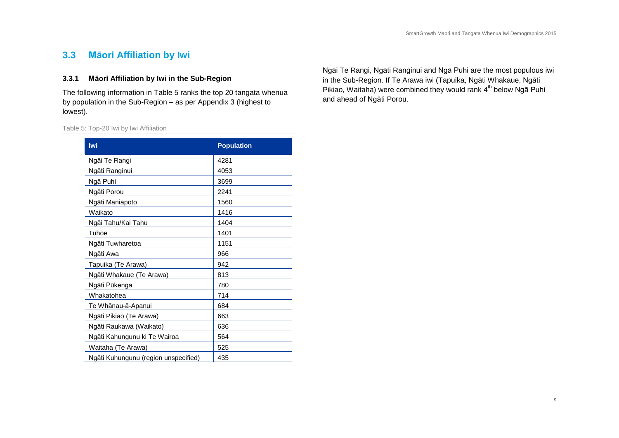### **3.3 Māori Affiliation by Iwi**

#### **3.3.1 Māori Affiliation by Iwi in the Sub-Region**

The following information in Table 5 ranks the top 20 tangata whenua by population in the Sub-Region – as per Appendix 3 (highest to lowest).

<span id="page-18-0"></span>Table 5: Top-20 Iwi by Iwi Affiliation

| <b>Iwi</b>                           | <b>Population</b> |
|--------------------------------------|-------------------|
| Ngāi Te Rangi                        | 4281              |
| Ngāti Ranginui                       | 4053              |
| Ngā Puhi                             | 3699              |
| Ngāti Porou                          | 2241              |
| Ngāti Maniapoto                      | 1560              |
| Waikato                              | 1416              |
| Ngāi Tahu/Kai Tahu                   | 1404              |
| Tuhoe                                | 1401              |
| Ngāti Tuwharetoa                     | 1151              |
| Ngāti Awa                            | 966               |
| Tapuika (Te Arawa)                   | 942               |
| Ngāti Whakaue (Te Arawa)             | 813               |
| Ngāti Pūkenga                        | 780               |
| Whakatohea                           | 714               |
| Te Whānau-ā-Apanui                   | 684               |
| Ngāti Pikiao (Te Arawa)              | 663               |
| Ngāti Raukawa (Waikato)              | 636               |
| Ngāti Kahungunu ki Te Wairoa         | 564               |
| Waitaha (Te Arawa)                   | 525               |
| Ngāti Kuhungunu (region unspecified) | 435               |

Ngāi Te Rangi, Ngāti Ranginui and Ngā Puhi are the most populous iwi in the Sub-Region. If Te Arawa iwi (Tapuika, Ngāti Whakaue, Ngāti Pikiao, Waitaha) were combined they would rank 4<sup>th</sup> below Nga Puhi and ahead of Ngāti Porou.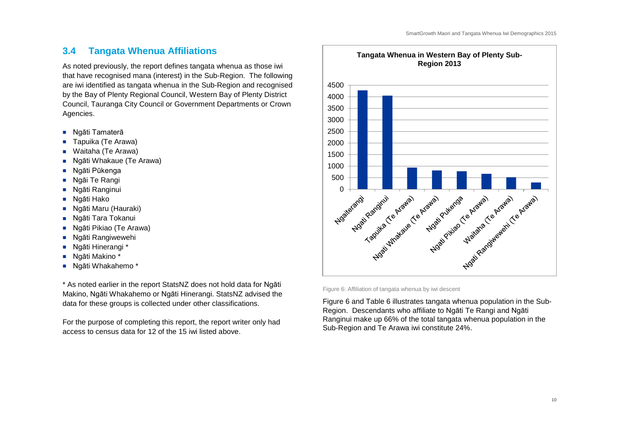### **3.4 Tangata Whenua Affiliations**

As noted previously, the report defines tangata whenua as those iwi that have recognised mana (interest) in the Sub-Region. The following are iwi identified as tangata whenua in the Sub-Region and recognised by the Bay of Plenty Regional Council, Western Bay of Plenty District Council, Tauranga City Council or Government Departments or Crown Agencies.

- Ngāti Tamaterā
- Tapuika (Te Arawa)
- **Waitaha (Te Arawa)**
- Ngāti Whakaue (Te Arawa)
- **Ngāti Pūkenga**
- Ngāi Te Rangi
- **Ngāti Ranginui**
- Ngāti Hako
- **Ngāti Maru (Hauraki)**
- **Ngāti Tara Tokanui**
- Ngāti Pikiao (Te Arawa)
- **Ngāti Rangiwewehi**
- Ngāti Hinerangi \*
- Ngāti Makino \*
- Ngāti Whakahemo \*

\* As noted earlier in the report StatsNZ does not hold data for Ngāti Makino, Ngāti Whakahemo or Ngāti Hinerangi. StatsNZ advised the data for these groups is collected under other classifications.

For the purpose of completing this report, the report writer only had access to census data for 12 of the 15 iwi listed above.



<span id="page-19-0"></span>Figure 6: Affiliation of tangata whenua by iwi descent

Figure 6 and Table 6 illustrates tangata whenua population in the Sub-Region. Descendants who affiliate to Ngāti Te Rangi and Ngāti Ranginui make up 66% of the total tangata whenua population in the Sub-Region and Te Arawa iwi constitute 24%.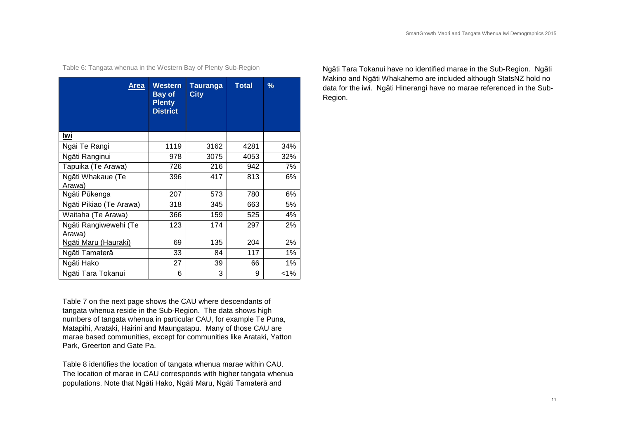<span id="page-20-0"></span>Table 6: Tangata whenua in the Western Bay of Plenty Sub-Region

| <b>Area</b>                     | <b>Western</b><br><b>Bay of</b><br><b>Plenty</b><br><b>District</b> | <b>Tauranga</b><br><b>City</b> | <b>Total</b> | $\frac{9}{6}$ |
|---------------------------------|---------------------------------------------------------------------|--------------------------------|--------------|---------------|
| lwi                             |                                                                     |                                |              |               |
| Ngāi Te Rangi                   | 1119                                                                | 3162                           | 4281         | 34%           |
| Ngāti Ranginui                  | 978                                                                 | 3075                           | 4053         | 32%           |
| Tapuika (Te Arawa)              | 726                                                                 | 216                            | 942          | 7%            |
| Ngāti Whakaue (Te<br>Arawa)     | 396                                                                 | 417                            | 813          | 6%            |
| Ngāti Pūkenga                   | 207                                                                 | 573                            | 780          | 6%            |
| Ngāti Pikiao (Te Arawa)         | 318                                                                 | 345                            | 663          | 5%            |
| Waitaha (Te Arawa)              | 366                                                                 | 159                            | 525          | 4%            |
| Ngāti Rangiwewehi (Te<br>Arawa) | 123                                                                 | 174                            | 297          | 2%            |
| Ngāti Maru (Hauraki)            | 69                                                                  | 135                            | 204          | 2%            |
| Ngāti Tamaterā                  | 33                                                                  | 84                             | 117          | 1%            |
| Ngāti Hako                      | 27                                                                  | 39                             | 66           | 1%            |
| Ngāti Tara Tokanui              | 6                                                                   | 3                              | 9            | $< 1\%$       |

Table 7 on the next page shows the CAU where descendants of tangata whenua reside in the Sub-Region. The data shows high numbers of tangata whenua in particular CAU, for example Te Puna, Matapihi, Arataki, Hairini and Maungatapu. Many of those CAU are marae based communities, except for communities like Arataki, Yatton Park, Greerton and Gate Pa.

Table 8 identifies the location of tangata whenua marae within CAU. The location of marae in CAU corresponds with higher tangata whenua populations. Note that Ngāti Hako, Ngāti Maru, Ngāti Tamaterā and

Ngāti Tara Tokanui have no identified marae in the Sub-Region. Ngāti Makino and Ngāti Whakahemo are included although StatsNZ hold no data for the iwi. Ngāti Hinerangi have no marae referenced in the Sub-Region.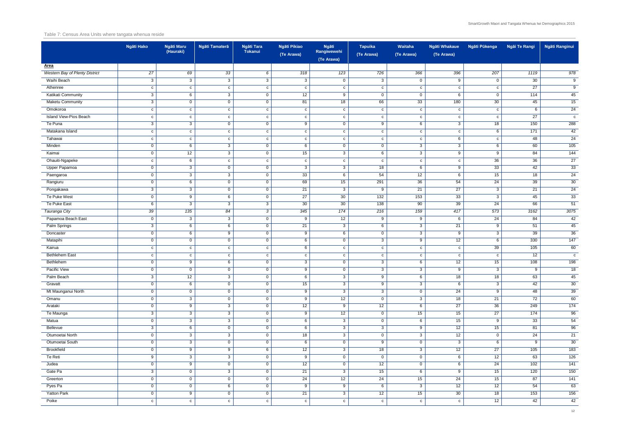#### <span id="page-21-0"></span>Table 7: Census Area Units where tangata whenua reside

|                                       | <b>Ngāti Hako</b>             | <b>Ngāti Maru</b><br>(Hauraki)   | Ngāti Tamaterā   | <b>Ngāti Tara</b><br><b>Tokanui</b> | <b>Ngāti Pikiao</b><br>(Te Arawa) | <b>Ngāti</b><br>Rangiwewehi<br>(Te Arawa) | <b>Tapuika</b><br>(Te Arawa) | Waitaha<br>(Te Arawa) | <b>Ngāti Whakaue</b><br>(Te Arawa) | <b>Ngāti Pūkenga</b> | Ngāi Te Rangi   | <b>Ngāti Ranginui</b>   |
|---------------------------------------|-------------------------------|----------------------------------|------------------|-------------------------------------|-----------------------------------|-------------------------------------------|------------------------------|-----------------------|------------------------------------|----------------------|-----------------|-------------------------|
| <u>Area</u>                           |                               |                                  |                  |                                     |                                   |                                           |                              |                       |                                    |                      |                 |                         |
| <b>Western Bay of Plenty District</b> | 27                            | 69                               | 33               | 6                                   | 318                               | 123                                       | 726                          | 366                   | 396                                | 207                  | 1119            | 978                     |
| Waihi Beach                           | $\mathbf{3}$                  | $\mathbf{3}$                     | 3                | $\mathbf{3}$                        | $\mathbf{3}$                      | $\overline{0}$                            | 3                            | $\overline{0}$        | 9                                  | $\mathbf 0$          | 30              | 9                       |
| Athenree                              | $\mathbf{C}$                  | C                                | $\mathbf{C}$     | $\mathbf{C}$                        | $\mathbf{C}$                      | $\mathbf{C}$                              | C                            | $\mathbf{C}$          | C                                  | C                    | 27              | 9                       |
| Katikati Community                    | $\mathbf{3}$                  | 6                                | 3                | $\overline{0}$                      | 12                                | 9                                         | $\overline{0}$               | $\mathbf 0$           | 6                                  | $\overline{0}$       | 114             | 45                      |
| <b>Maketu Community</b>               | $\mathbf{3}$                  | $\overline{0}$                   | $\mathbf 0$      | $\overline{0}$                      | 81                                | 18                                        | 66                           | 33                    | 180                                | 30                   | 45              | 15                      |
| Omokoroa                              | $\mathbf{C}$                  | C                                | $\mathbf{C}$     | $\mathbf{C}$                        | $\mathbf{C}$                      | $\mathbf{C}$                              | $\mathbf{C}$                 | $\mathbf{C}$          | <sub>c</sub>                       | C                    | 6               | $\overline{24}$         |
| <b>Island View-Pios Beach</b>         | $\mathbf{C}$                  | C                                | $\mathbf{C}$     | $\mathbf{C}$                        | $\mathbf{C}$                      | $\mathbf{C}$                              | $\mathbf{C}$                 | $\mathbf{C}$          | $\mathbf{C}$                       | C                    | 27              | $\mathbf{C}$            |
| Te Puna                               | $\mathbf{3}$                  | $\mathbf{3}$                     | $\mathbf 0$      | $\overline{0}$                      | 9                                 | $\mathbf 0$                               | 9                            | 6                     | 3                                  | 18                   | 150             | 288                     |
| Matakana Island                       | $\mathbf{C}$                  | C                                | $\mathbf{C}$     | $\mathbf{C}$                        | $\mathbf{C}$                      | $\mathbf{C}$                              | $\mathbf{C}$                 | ${\bf c}$             | C                                  | 6                    | $\frac{171}{1}$ | 42                      |
| Tahawai                               | $\mathbf{C}$                  | $\mathbf c$                      | $\mathbf{C}$     | $\mathbf{C}$                        | $\mathbf{C}$                      | $\mathbf{C}$                              | C                            | ${\bf c}$             | 6                                  | C                    | 48              | $\overline{24}$         |
| Minden                                | $\overline{0}$                | 6                                | 3                | $\overline{0}$                      | 6                                 | $\overline{0}$                            | $\overline{0}$               | 3                     | 3                                  | 6                    | 60              | $\overline{105}$        |
| Kaimai                                | $\mathbf 0$                   | 12                               | $\mathbf{3}$     | $\mathbf 0$                         | 15                                | $\mathbf{3}$                              | 6                            | $\mathbf{3}$          | 9                                  | 9                    | 84              | 144                     |
| Ohauiti-Ngapeke                       | $\mathbf{C}$                  | 6                                | $\mathbf{C}$     | $\mathbf{C}$                        | $\mathbf{C}$                      | $\mathbf{C}$                              | C                            | ${\bf c}$             | $\mathbf{C}$                       | 36                   | 36              | $\overline{27}$         |
| Upper Papamoa                         | $\mathbf 0$                   | $\mathbf{3}$                     | $\mathbf 0$      | $\overline{0}$                      | $\mathbf{3}$                      | $\mathbf{3}$                              | 18                           | 6                     | 9                                  | 33                   | 42              | 33                      |
| Paengaroa                             | $\mathbf 0$                   | $\mathbf{3}$                     | $\mathbf{3}$     | $\mathbf 0$                         | 33                                | 6                                         | 54                           | 12                    | 6                                  | 15                   | 18              | $\overline{24}$         |
| Rangiuru                              | $\mathbf 0$                   | 6                                | $\mathbf{0}$     | $\overline{0}$                      | 69                                | 15                                        | 291                          | 36                    | 54                                 | 24                   | 39              | $\overline{30}$         |
| Pongakawa                             | $\mathbf{3}$                  | $\mathbf{3}$                     | $\mathbf 0$      | $\mathbf 0$                         | 21                                | $\mathbf{3}$                              | 9                            | 21                    | 27                                 | 3                    | 21              | $\overline{24}$         |
| Te Puke West                          | $\mathbf 0$                   | 9                                | 6                | $\mathbf 0$                         | 27                                | 30                                        | $\overline{132}$             | 153                   | 33                                 | 3                    | 45              | $\overline{33}$         |
| Te Puke East                          | 6                             | $\mathbf{3}$                     | 3                | $\mathbf{3}$                        | 30                                | 30 <sup>°</sup>                           | 138                          | 90                    | 39                                 | 24                   | 66              | $\overline{51}$         |
| Tauranga City                         | 39                            | 135                              | 84               | 3                                   | 345                               | 174                                       | 216                          | 159                   | 417                                | 573                  | 3162            | 3075                    |
| Papamoa Beach East                    | $\mathbf 0$                   | $\overline{\mathbf{3}}$          | $\mathbf{3}$     | $\mathbf 0$                         | 9                                 | 12                                        | 9                            | 9                     | 6                                  | $\overline{24}$      | 84              | 42                      |
| Palm Springs                          | $\mathbf{3}$                  | 6                                | 6                | $\overline{0}$                      | 21                                | $\mathbf{3}$                              | 6                            | $\mathbf{3}$          | 21                                 | 9                    | 51              | 45                      |
| Doncaster                             | $\mathbf 0$                   | 6                                | 9                | $\mathbf 0$                         | 9                                 | 6                                         | $\mathbf 0$                  | 3                     | 9                                  | 3                    | 39              | 36                      |
| Matapihi                              | $\mathbf 0$                   | $\mathbf 0$                      | 0                | $\overline{0}$                      | 6                                 | $\overline{0}$                            | $\mathbf{3}$                 | 9                     | 12                                 | 6                    | 330             | 147                     |
| Kairua                                | $\mathtt{C}$                  | $\mathbf c$                      | $\mathbf{C}$     | $\mathbf{C}$                        | 6                                 | $\mathbf{C}$                              | $\mathbf{C}$                 | ${\bf c}$             | C                                  | 39                   | 105             | 60                      |
| <b>Bethlehem East</b>                 | $\mathbf{C}$                  | C                                | $\mathbf{C}$     | $\mathbf{C}$                        | $\mathbf{C}$                      | $\mathbf{C}$                              | C                            | $\mathbf{C}$          | C                                  | C                    | 12              | $\mathbf{C}$            |
| Bethlehem                             | $\mathbf 0$                   | 9                                | 6                | $\mathbf 0$                         | $\mathbf{3}$                      | $\overline{0}$                            | 3                            | 6                     | 12                                 | 15                   | 108             | 198                     |
| Pacific View                          | $\mathbf 0$                   | $\overline{0}$                   | $\mathbf{0}$     | $\overline{0}$                      | 9                                 | $\mathbf 0$                               | 3                            | 3                     | 9                                  | $\mathbf{3}$         | 9               | 18                      |
| Palm Beach                            | $\mathbf{3}$                  | 12                               | 3                | $\overline{0}$                      | 6                                 | $\mathbf{3}$                              | 9                            | 6                     | 18                                 | 18                   | 63              | 45                      |
| Gravatt                               | $\mathbf 0$                   | 6                                | $\mathbf 0$      | $\mathbf 0$                         | 15                                | $\mathbf{3}$                              | 9                            | 3                     | 6                                  | 3                    | 42              | $\overline{30}$         |
| Mt Maunganui North                    | $\overline{0}$                | $\overline{0}$                   | $\mathbf{0}$     | $\overline{0}$                      | 9                                 | $\mathbf{3}$                              | $\mathbf{3}$                 | $\mathbf 0$           | 24                                 | 9                    | 48              | $\overline{39}$         |
| Omanu                                 | $\mathbf 0$                   | $\mathbf{3}$                     | $\mathbf 0$      | $\mathbf 0$                         | 9                                 | 12                                        | $\mathbf 0$                  | 3                     | 18                                 | 21                   | 72              | 60                      |
| Arataki                               | $\mathbf 0$                   | 9                                | $\mathbf{3}$     | $\mathbf 0$                         | 12                                | 9                                         | 12                           | 6                     | 27                                 | 36                   | 249             | 174                     |
| Te Maunga                             | $\mathbf{3}$                  | $\mathbf{3}$                     | $\mathbf{3}$     | $\overline{0}$                      | 9                                 | $\overline{12}$                           | $\mathbf 0$                  | 15                    | 15                                 | 27                   | 174             | $\overline{96}$         |
| Matua                                 | $\mathbf 0$                   | $\mathbf{3}$                     | $\mathbf{3}$     | $\overline{0}$                      | 6                                 | $\mathbf{3}$                              | $\mathbf 0$                  | 6                     | 15                                 | 9                    | 33              | 54                      |
| Bellevue                              | $\mathbf{3}$                  | 6                                | $\mathbf 0$      | $\overline{0}$                      | 6                                 | $\mathbf{3}$                              | 3                            | 9                     | 12                                 | 15                   | 81              | $\overline{96}$         |
| Otumoetai North                       | $\overline{0}$                | $\mathbf{3}$                     | $\mathbf{3}$     | $\overline{0}$                      | 18                                | $\mathbf{3}$                              | $\overline{0}$               | 3                     | 12                                 | $\mathbf 0$          | 24              | $\overline{21}$         |
| Otumoetai South                       | $\overline{0}$                | $\mathbf{3}$                     | $\mathbf 0$      | $\overline{0}$                      | 6                                 | $\overline{0}$                            | 9                            | $\overline{0}$        | 3                                  | 6                    | 9               | 30                      |
| <b>Brookfield</b>                     | $\mathbf 0$<br>9              | 9<br>$\mathbf{3}$                | 9<br>3           | 6                                   | 12                                | $\mathbf{3}$<br>$\mathbf 0$               | 18                           | 3                     | 12                                 | 27                   | 105<br>63       | $\overline{183}$<br>126 |
| Te Reti                               |                               |                                  |                  | $\overline{0}$<br>$\overline{0}$    | 9                                 |                                           | $\overline{0}$<br>12         | $\mathbf{0}$          | 6                                  | 12                   | 102             | 141                     |
| Judea<br>Gate Pa                      | $\mathbf 0$<br>$\mathbf{3}$   | 9<br>$\overline{0}$              | $\mathbf 0$<br>3 | $\mathbf 0$                         | 12<br>21                          | $\mathbf 0$<br>$\mathbf{3}$               | 15                           | $\mathbf 0$<br>6      | 6<br>9                             | 24<br>15             | 120             | 150                     |
|                                       |                               |                                  | $\mathbf 0$      | $\overline{0}$                      |                                   | 12                                        | $\overline{24}$              | 15                    |                                    |                      |                 | $\boxed{141}$           |
| Greerton<br>Pyes Pa                   | $\overline{0}$<br>$\mathbf 0$ | $\overline{0}$<br>$\overline{0}$ | 6                | $\overline{0}$                      | 24<br>9                           | 9                                         | 6                            | $\mathbf{3}$          | 24<br>12                           | 15<br>12             | 87<br>54        | 63                      |
| <b>Yatton Park</b>                    | $\mathbf 0$                   | 9                                | $\mathbf 0$      | $\mathbf 0$                         | 21                                | $\mathbf{3}$                              | 12                           | 15                    | 30                                 | 18                   | 153             | 156                     |
|                                       |                               |                                  |                  |                                     |                                   |                                           |                              |                       |                                    |                      |                 | 42                      |
| Poike                                 | $\mathbf{C}$                  | $\mathbf c$                      | $\mathbf{C}$     | $\mathbf{C}$                        | $\mathbf{C}$                      | $\mathbf{C}$                              | $\mathbf{C}$                 | ${\bf c}$             | $\mathbf{C}$                       | 12                   | 42              |                         |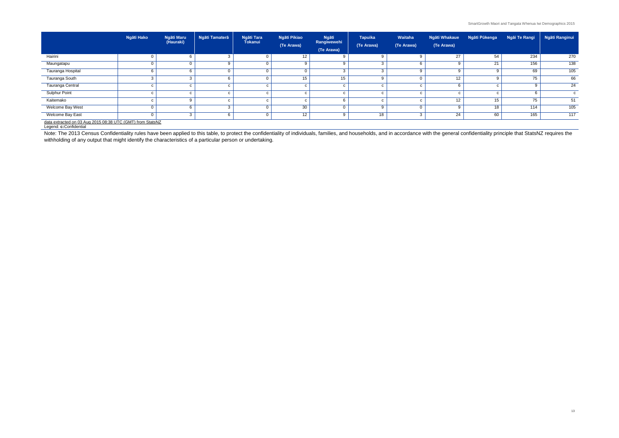SmartGrowth Maori and Tangata Whenua Iwi Demographics 2015

|                                                             | <b>Ngāti Hako</b> | Ngāti Maru<br>(Hauraki) | Ngāti Tamaterā | <b>Ngāti Tara</b><br>Tokanui | <b>Ngāti Pikiao</b><br>(Te Arawa) | <b>Ngāti</b><br>Rangiwewehi<br>(Te Arawa) | <b>Tapuika</b><br>(Te Arawa) | Waitaha<br>(Te Arawa) | Ngāti Whakaue<br>(Te Arawa) | Ngāti Pūkenga | Ngāi Te Rangi | Ngāti Ranginui |
|-------------------------------------------------------------|-------------------|-------------------------|----------------|------------------------------|-----------------------------------|-------------------------------------------|------------------------------|-----------------------|-----------------------------|---------------|---------------|----------------|
| Hairini                                                     |                   |                         |                |                              | 12                                |                                           |                              |                       | 27                          | 54            | 234           | 270            |
| Maungatapu                                                  |                   |                         |                |                              |                                   |                                           |                              |                       |                             | 21            | 156           | 138            |
| Tauranga Hospital                                           |                   |                         |                |                              |                                   |                                           |                              |                       |                             |               | 69            | 105            |
| <b>Tauranga South</b>                                       |                   |                         |                | ∩                            | 15                                | 15                                        |                              |                       | 12                          |               | 75            | 66             |
| Tauranga Central                                            |                   |                         |                |                              |                                   |                                           |                              |                       |                             |               |               | 24             |
| <b>Sulphur Point</b>                                        |                   |                         |                |                              |                                   |                                           |                              |                       |                             |               |               | C              |
| Kaitemako                                                   |                   |                         |                |                              |                                   |                                           |                              |                       | 12                          | 15            | 75            | 51             |
| Welcome Bay West                                            |                   |                         |                |                              | 30                                |                                           |                              |                       |                             | 18            | 114           | 105            |
| <b>Welcome Bay East</b>                                     |                   | $\sqrt{2}$              |                | $\Omega$                     | 12                                |                                           | 18                           |                       | 24                          | 60            | 165           | 117            |
| doto ovtrooted on 02 Aug 2015 08:20 LITC (CMT) from StateNZ |                   |                         |                |                              |                                   |                                           |                              |                       |                             |               |               |                |

Note: The 2013 Census Confidentiality rules have been applied to this table, to protect the confidentiality of individuals, families, and households, and in accordance with the general confidentiality principle that StatsN withholding of any output that might identify the characteristics of a particular person or undertaking.

data extracted on 03 Aug 2015 08:38 UTC (GMT) from StatsNZ Legend: **c:**Confidential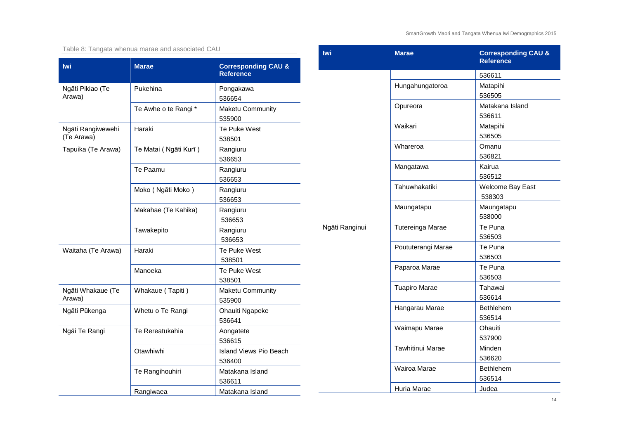| Iwi                             | Table 8: Tangata whenua marae and associated CAU<br><b>Marae</b> | <b>Corresponding CAU &amp;</b>          | Iwi            | <b>Marae</b>            | <b>Corresponding CAU &amp;</b><br><b>Reference</b> |
|---------------------------------|------------------------------------------------------------------|-----------------------------------------|----------------|-------------------------|----------------------------------------------------|
|                                 |                                                                  | <b>Reference</b>                        |                |                         | 536611                                             |
| Ngāti Pikiao (Te<br>Arawa)      | Pukehina                                                         | Pongakawa<br>536654                     |                | Hungahungatoroa         | Matapihi<br>536505                                 |
|                                 | Te Awhe o te Rangi *                                             | <b>Maketu Community</b><br>535900       |                | Opureora                | Matakana Island<br>536611                          |
| Ngāti Rangiwewehi<br>(Te Arawa) | Haraki                                                           | Te Puke West<br>538501                  |                | Waikari                 | Matapihi<br>536505                                 |
| Tapuika (Te Arawa)              | Te Matai (Ngāti Kurī)                                            | Rangiuru<br>536653                      |                | Whareroa                | Omanu<br>536821                                    |
|                                 | Te Paamu                                                         | Rangiuru<br>536653                      |                | Mangatawa               | Kairua<br>536512                                   |
|                                 | Moko (Ngāti Moko)                                                | Rangiuru<br>536653                      |                | Tahuwhakatiki           | Welcome Bay East<br>538303                         |
|                                 | Makahae (Te Kahika)                                              | Rangiuru<br>536653                      |                | Maungatapu              | Maungatapu<br>538000                               |
|                                 | Tawakepito                                                       | Rangiuru<br>536653                      | Ngāti Ranginui | Tutereinga Marae        | Te Puna<br>536503                                  |
| Waitaha (Te Arawa)              | Haraki                                                           | Te Puke West<br>538501                  |                | Poututerangi Marae      | Te Puna<br>536503                                  |
|                                 | Manoeka                                                          | Te Puke West<br>538501                  |                | Paparoa Marae           | Te Puna<br>536503                                  |
| Ngāti Whakaue (Te<br>Arawa)     | Whakaue (Tapiti)                                                 | <b>Maketu Community</b><br>535900       |                | <b>Tuapiro Marae</b>    | Tahawai<br>536614                                  |
| Ngāti Pūkenga                   | Whetu o Te Rangi                                                 | Ohauiti Ngapeke<br>536641               |                | Hangarau Marae          | Bethlehem<br>536514                                |
| Ngāi Te Rangi                   | Te Rereatukahia                                                  | Aongatete<br>536615                     |                | Waimapu Marae           | Ohauiti<br>537900                                  |
|                                 | Otawhiwhi                                                        | <b>Island Views Pio Beach</b><br>536400 |                | <b>Tawhitinui Marae</b> | Minden<br>536620                                   |
|                                 | Te Rangihouhiri                                                  | Matakana Island<br>536611               |                | Wairoa Marae            | Bethlehem<br>536514                                |
|                                 | Rangiwaea                                                        | Matakana Island                         |                | Huria Marae             | Judea                                              |

<span id="page-23-0"></span>Table 8: Tangata whenua marae and associated CAU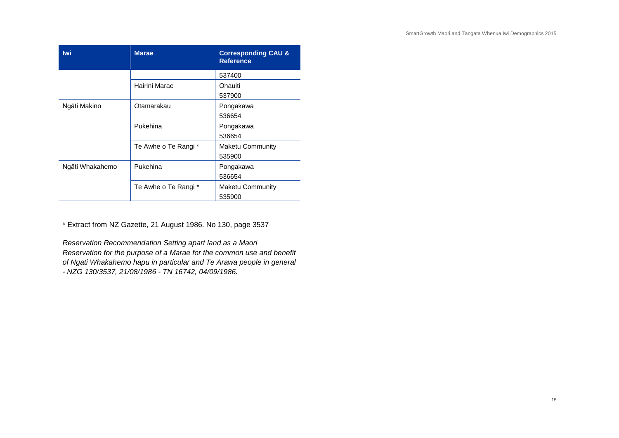| <b>Iwi</b>      | <b>Marae</b>         | <b>Corresponding CAU &amp;</b><br><b>Reference</b> |
|-----------------|----------------------|----------------------------------------------------|
|                 |                      | 537400                                             |
|                 | Hairini Marae        | Ohauiti                                            |
|                 |                      | 537900                                             |
| Ngāti Makino    | Otamarakau           | Pongakawa                                          |
|                 |                      | 536654                                             |
|                 | Pukehina             | Pongakawa                                          |
|                 |                      | 536654                                             |
|                 | Te Awhe o Te Rangi * | <b>Maketu Community</b>                            |
|                 |                      | 535900                                             |
| Ngāti Whakahemo | Pukehina             | Pongakawa                                          |
|                 |                      | 536654                                             |
|                 | Te Awhe o Te Rangi * | <b>Maketu Community</b>                            |
|                 |                      | 535900                                             |

\* Extract from NZ Gazette, 21 August 1986. No 130, page 3537

*Reservation Recommendation Setting apart land as a Maori Reservation for the purpose of a Marae for the common use and benefit of Ngati Whakahemo hapu in particular and Te Arawa people in general - NZG 130/3537, 21/08/1986 - TN 16742, 04/09/1986.*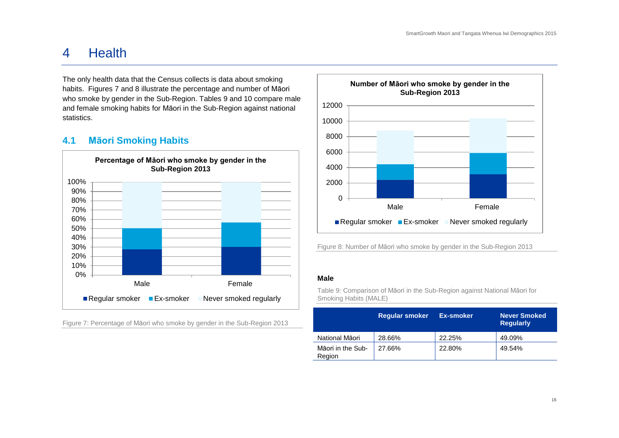# 4 Health

The only health data that the Census collects is data about smoking habits. Figures 7 and 8 illustrate the percentage and number of Māori who smoke by gender in the Sub-Region. Tables 9 and 10 compare male and female smoking habits for Māori in the Sub-Region against national statistics.

### **4.1 Māori Smoking Habits**



<span id="page-25-0"></span>Figure 7: Percentage of Māori who smoke by gender in the Sub-Region 2013



<span id="page-25-1"></span>Figure 8: Number of Māori who smoke by gender in the Sub-Region 2013

#### **Male**

<span id="page-25-2"></span>Table 9: Comparison of Māori in the Sub-Region against National Māori for Smoking Habits (MALE)

|                             | <b>Regular smoker</b> | Ex-smoker | <b>Never Smoked</b><br><b>Requiarly</b> |
|-----------------------------|-----------------------|-----------|-----------------------------------------|
| National Māori              | 28.66%                | 22.25%    | 49.09%                                  |
| Māori in the Sub-<br>Region | 27.66%                | 22.80%    | 49.54%                                  |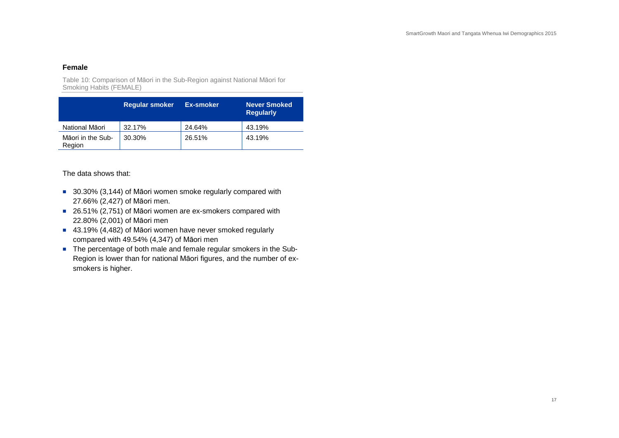#### **Female**

<span id="page-26-0"></span>Table 10: Comparison of Māori in the Sub-Region against National Māori for Smoking Habits (FEMALE)

|                             | <b>Regular smoker</b> | Ex-smoker | <b>Never Smoked</b><br><b>Regularly</b> |
|-----------------------------|-----------------------|-----------|-----------------------------------------|
| National Māori              | 32.17%                | 24.64%    | 43.19%                                  |
| Māori in the Sub-<br>Region | 30.30%                | 26.51%    | 43.19%                                  |

#### The data shows that:

- 30.30% (3,144) of Māori women smoke regularly compared with 27.66% (2,427) of Māori men.
- 26.51% (2,751) of Māori women are ex-smokers compared with 22.80% (2,001) of Māori men
- 43.19% (4,482) of Māori women have never smoked regularly compared with 49.54% (4,347) of Māori men
- The percentage of both male and female regular smokers in the Sub-Region is lower than for national Māori figures, and the number of exsmokers is higher.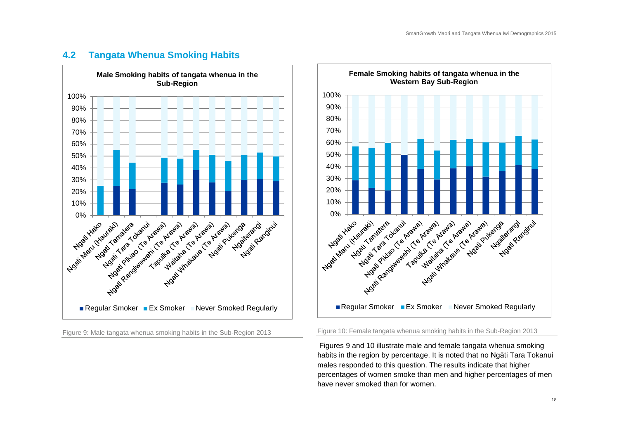

#### **4.2 Tangata Whenua Smoking Habits**





<span id="page-27-0"></span>

<span id="page-27-1"></span>Figures 9 and 10 illustrate male and female tangata whenua smoking habits in the region by percentage. It is noted that no Ngāti Tara Tokanui males responded to this question. The results indicate that higher percentages of women smoke than men and higher percentages of men have never smoked than for women.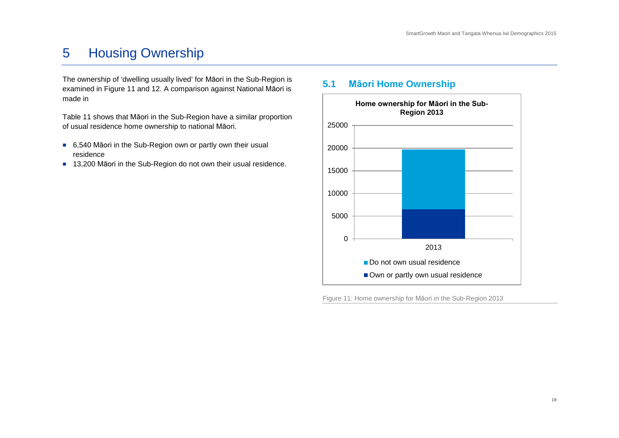# 5 Housing Ownership

The ownership of 'dwelling usually lived' for Māori in the Sub-Region is examined in [Figure 11](#page-28-0) [and 12. A comparison against National](#page-29-2) Māori is made in

[Table 1](#page-29-2)1 shows that Māori in the Sub-Region have a similar proportion of usual residence home ownership to national Māori.

- 6,540 Māori in the Sub-Region own or partly own their usual residence
- **13,200 Māori in the Sub-Region do not own their usual residence.**

### **5.1 Māori Home Ownership**



<span id="page-28-0"></span>Figure 11: Home ownership for Māori in the Sub-Region 2013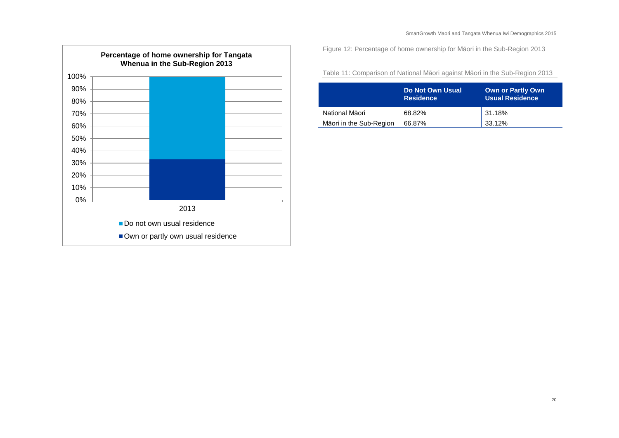



<span id="page-29-0"></span>Figure 12: Percentage of home ownership for Māori in the Sub-Region 2013

<span id="page-29-2"></span><span id="page-29-1"></span>Table 11: Comparison of National Māori against Māori in the Sub-Region 2013

|                         | Do Not Own Usual<br><b>Residence</b> | <b>Own or Partly Own</b><br><b>Usual Residence</b> |
|-------------------------|--------------------------------------|----------------------------------------------------|
| National Māori          | 68.82%                               | 31.18%                                             |
| Māori in the Sub-Region | 66.87%                               | 33.12%                                             |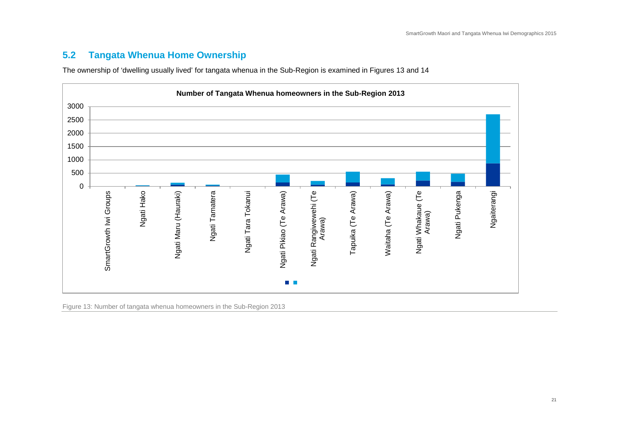### **5.2 Tangata Whenua Home Ownership**

The ownership of 'dwelling usually lived' for tangata whenua in the Sub-Region is examined in Figures 13 and 14



<span id="page-30-0"></span>Figure 13: Number of tangata whenua homeowners in the Sub-Region 2013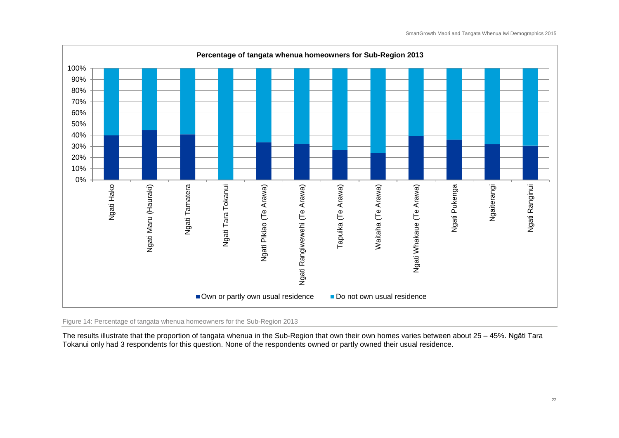

<span id="page-31-0"></span>Figure 14: Percentage of tangata whenua homeowners for the Sub-Region 2013

The results illustrate that the proportion of tangata whenua in the Sub-Region that own their own homes varies between about 25 – 45%. Ngāti Tara Tokanui only had 3 respondents for this question. None of the respondents owned or partly owned their usual residence.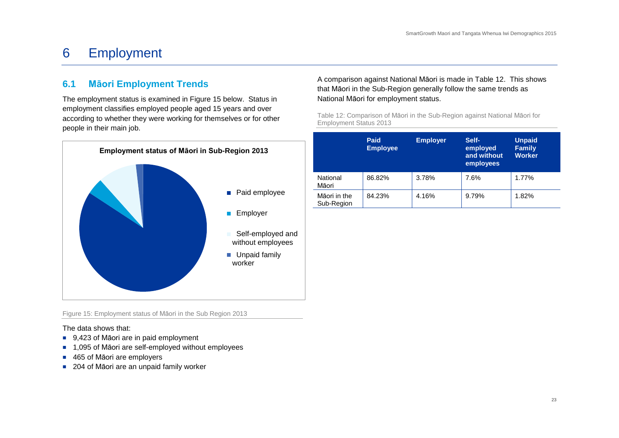# 6 Employment

### **6.1 Māori Employment Trends**

The employment status is examined in [Figure 15](#page-32-0) below. Status in employment classifies employed people aged 15 years and over according to whether they were working for themselves or for other people in their main job.



<span id="page-32-0"></span>Figure 15: Employment status of Māori in the Sub Region 2013

#### The data shows that:

- 9,423 of Māori are in paid employment
- 1,095 of Māori are self-employed without employees
- 465 of Māori are employers
- 204 of Māori are an unpaid family worker

A comparison against National Māori is made in Table 12. This shows that Māori in the Sub-Region generally follow the same trends as National Māori for employment status.

<span id="page-32-1"></span>Table 12: Comparison of Māori in the Sub-Region against National Māori for Employment Status 2013

|                            | Paid<br><b>Employee</b> | <b>Employer</b> | Self-<br>employed<br>and without<br>employees | <b>Unpaid</b><br><b>Family</b><br><b>Worker</b> |
|----------------------------|-------------------------|-----------------|-----------------------------------------------|-------------------------------------------------|
| National<br>Māori          | 86.82%                  | 3.78%           | 7.6%                                          | 1.77%                                           |
| Māori in the<br>Sub-Region | 84.23%                  | 4.16%           | 9.79%                                         | 1.82%                                           |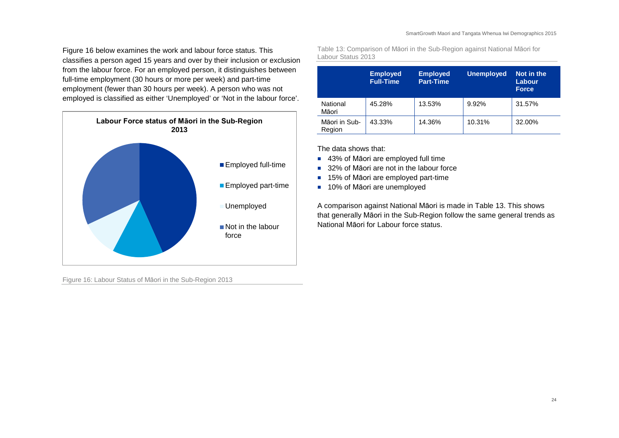[Figure 16](#page-33-0) below examines the work and labour force status. This classifies a person aged 15 years and over by their inclusion or exclusion from the labour force. For an employed person, it distinguishes between full-time employment (30 hours or more per week) and part-time employment (fewer than 30 hours per week). A person who was not employed is classified as either 'Unemployed' or 'Not in the labour force'.



<span id="page-33-0"></span>Figure 16: Labour Status of Māori in the Sub-Region 2013

<span id="page-33-1"></span>Table 13: Comparison of Māori in the Sub-Region against National Māori for Labour Status 2013

|                         | <b>Employed</b><br><b>Full-Time</b> | <b>Employed</b><br><b>Part-Time</b> | <b>Unemployed</b> | Not in the<br>Labour<br><b>Force</b> |
|-------------------------|-------------------------------------|-------------------------------------|-------------------|--------------------------------------|
| National<br>Māori       | 45.28%                              | 13.53%                              | 9.92%             | 31.57%                               |
| Māori in Sub-<br>Region | 43.33%                              | 14.36%                              | 10.31%            | 32.00%                               |

The data shows that:

- 43% of Māori are employed full time
- 32% of Māori are not in the labour force
- 15% of Māori are employed part-time
- 10% of Māori are unemployed

A comparison against National Māori is made in Table 13. This shows that generally Māori in the Sub-Region follow the same general trends as National Māori for Labour force status.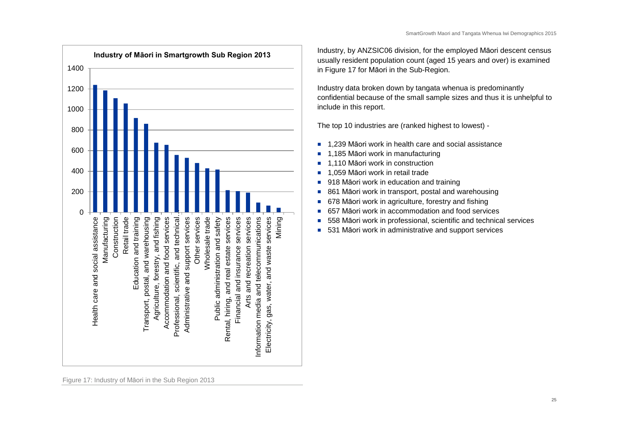

Industry, by ANZSIC06 division, for the employed Māori descent census usually resident population count (aged 15 years and over) is examined in [Figure 17](#page-34-0) for Māori in the Sub-Region.

Industry data broken down by tangata whenua is predominantly confidential because of the small sample sizes and thus it is unhelpful to include in this report.

The top 10 industries are (ranked highest to lowest) -

- 1,239 Māori work in health care and social assistance
- 1,185 Māori work in manufacturing
- 1,110 Māori work in construction
- 1.059 Māori work in retail trade
- 918 Māori work in education and training
- 861 Māori work in transport, postal and warehousing
- 678 Māori work in agriculture, forestry and fishing
- 657 Māori work in accommodation and food services
- 558 Māori work in professional, scientific and technical services
- <span id="page-34-0"></span>■ 531 Māori work in administrative and support services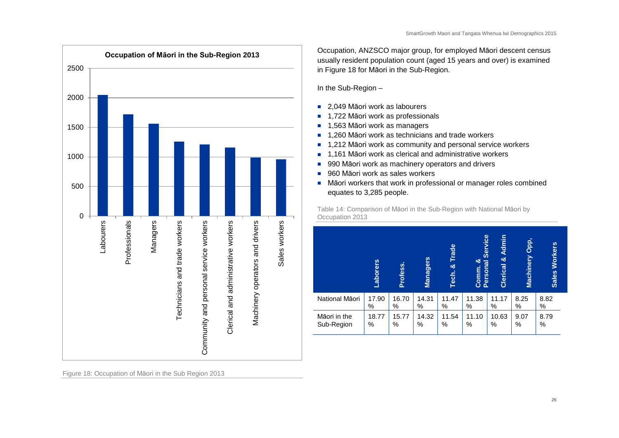

Occupation, ANZSCO major group, for employed Māori descent census usually resident population count (aged 15 years and over) is examined in [Figure 18](#page-35-0) for Māori in the Sub-Region.

In the Sub-Region –

- 2.049 Māori work as labourers
- 1,722 Māori work as professionals
- 1,563 Māori work as managers
- 1,260 Māori work as technicians and trade workers
- 1,212 Māori work as community and personal service workers
- 1,161 Māori work as clerical and administrative workers
- 990 Māori work as machinery operators and drivers
- 960 Māori work as sales workers
- Māori workers that work in professional or manager roles combined equates to 3,285 people.

<span id="page-35-1"></span>Table 14: Comparison of Māori in the Sub-Region with National Māori by Occupation 2013

|                | aborers | Profess. | <b>Managers</b> | Trade<br>×<br>Tech. | Service<br>ఱ<br><b>Personal</b><br>Comm. | Admin<br>œδ<br>Clerical | Opp.<br>Machinery | <b>Workers</b><br><b>Sales</b> |
|----------------|---------|----------|-----------------|---------------------|------------------------------------------|-------------------------|-------------------|--------------------------------|
| National Māori | 17.90   | 16.70    | 14.31           | 11.47               | 11.38                                    | 11.17                   | 8.25              | 8.82                           |
|                | %       | %        | $\%$            | %                   | %                                        | %                       | %                 | $\%$                           |
| Māori in the   | 18.77   | 15.77    | 14.32           | 11.54               | 11.10                                    | 10.63                   | 9.07              | 8.79                           |
| Sub-Region     | ℅       | %        | $\%$            | %                   | %                                        | %                       | %                 | $\%$                           |

<span id="page-35-0"></span>Figure 18: Occupation of Māori in the Sub Region 2013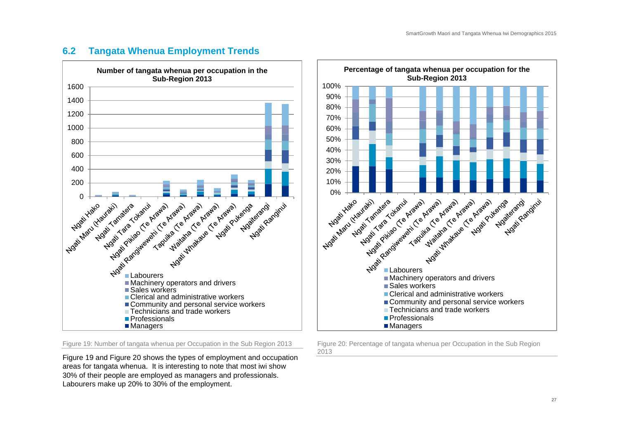### **6.2 Tangata Whenua Employment Trends**



<span id="page-36-0"></span>

Figure 19 and Figure 20 shows the types of employment and occupation areas for tangata whenua. It is interesting to note that most iwi show 30% of their people are employed as managers and professionals. Labourers make up 20% to 30% of the employment.



<span id="page-36-1"></span>Figure 20: Percentage of tangata whenua per Occupation in the Sub Region 2013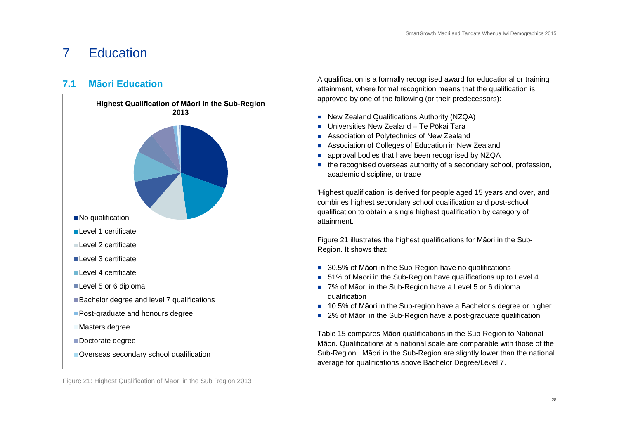# 7 Education



**7.1 Māori Education** A qualification is a formally recognised award for educational or training attainment, where formal recognition means that the qualification is approved by one of the following (or their predecessors):

- New Zealand Qualifications Authority (NZQA)
- **Universities New Zealand Te Pōkai Tara**
- **Association of Polytechnics of New Zealand**
- Association of Colleges of Education in New Zealand
- **a** approval bodies that have been recognised by NZQA
- the recognised overseas authority of a secondary school, profession, academic discipline, or trade

'Highest qualification' is derived for people aged 15 years and over, and combines highest secondary school qualification and post-school qualification to obtain a single highest qualification by category of attainment.

Figure 21 illustrates the highest qualifications for Māori in the Sub-Region. It shows that:

- 30.5% of Māori in the Sub-Region have no qualifications
- 51% of Māori in the Sub-Region have qualifications up to Level 4
- 7% of Māori in the Sub-Region have a Level 5 or 6 diploma qualification
- 10.5% of Māori in the Sub-region have a Bachelor's degree or higher
- 2% of Māori in the Sub-Region have a post-graduate qualification

Table 15 compares Māori qualifications in the Sub-Region to National Māori. Qualifications at a national scale are comparable with those of the Sub-Region. Māori in the Sub-Region are slightly lower than the national average for qualifications above Bachelor Degree/Level 7.

<span id="page-37-0"></span>Figure 21: Highest Qualification of Māori in the Sub Region 2013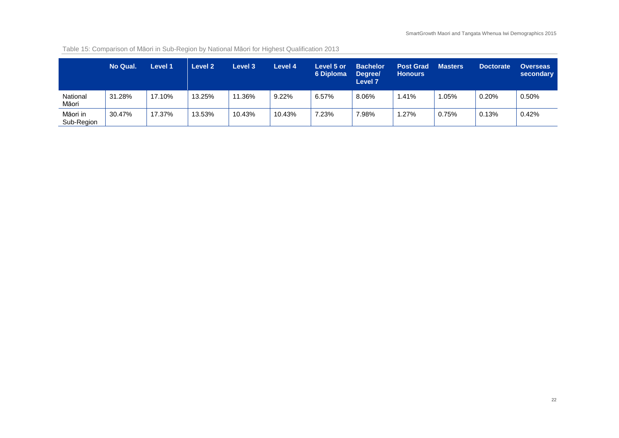<span id="page-38-0"></span>

| Table 15: Comparison of Māori in Sub-Region by National Māori for Highest Qualification 2013 |
|----------------------------------------------------------------------------------------------|
|----------------------------------------------------------------------------------------------|

|                        | No Qual. | Level 1 | <b>Level 2</b> | <b>Level 3</b> | Level 4 | Level 5 or<br>6 Diploma | <b>Bachelor</b><br>Degree/<br>Level <sub>7</sub> | <b>Post Grad</b><br><b>Honours</b> | <b>Masters</b> | <b>Doctorate</b> | <b>Overseas</b><br>secondary |
|------------------------|----------|---------|----------------|----------------|---------|-------------------------|--------------------------------------------------|------------------------------------|----------------|------------------|------------------------------|
| National<br>Māori      | 31.28%   | 17.10%  | 13.25%         | 11.36%         | 9.22%   | 6.57%                   | 8.06%                                            | 1.41%                              | 1.05%          | 0.20%            | 0.50%                        |
| Māori in<br>Sub-Region | 30.47%   | 17.37%  | 13.53%         | 10.43%         | 10.43%  | 7.23%                   | 7.98%                                            | 1.27%                              | 0.75%          | 0.13%            | 0.42%                        |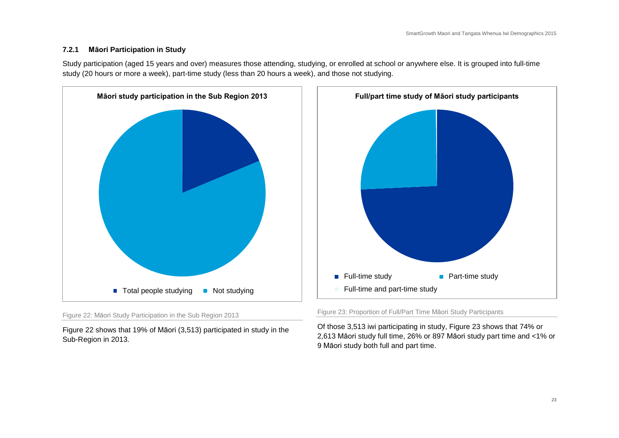#### **7.2.1 Māori Participation in Study**

Study participation (aged 15 years and over) measures those attending, studying, or enrolled at school or anywhere else. It is grouped into full-time study (20 hours or more a week), part-time study (less than 20 hours a week), and those not studying.



<span id="page-39-0"></span>Figure 22: Māori Study Participation in the Sub Region 2013

[Figure 22](#page-39-0) shows that 19% of Māori (3,513) participated in study in the Sub-Region in 2013.



<span id="page-39-1"></span>Figure 23: Proportion of Full/Part Time Māori Study Participants

Of those 3,513 iwi participating in study, [Figure 23](#page-39-1) shows that 74% or 2,613 Māori study full time, 26% or 897 Māori study part time and <1% or 9 Māori study both full and part time.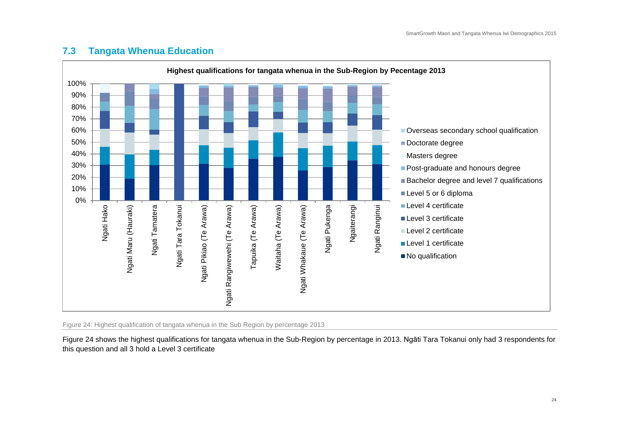

#### **7.3 Tangata Whenua Education**

<span id="page-40-0"></span>Figure 24: Highest qualification of tangata whenua in the Sub Region by percentage 2013

Figure 24 shows the highest qualifications for tangata whenua in the Sub-Region by percentage in 2013. Ngāti Tara Tokanui only had 3 respondents for this question and all 3 hold a Level 3 certificate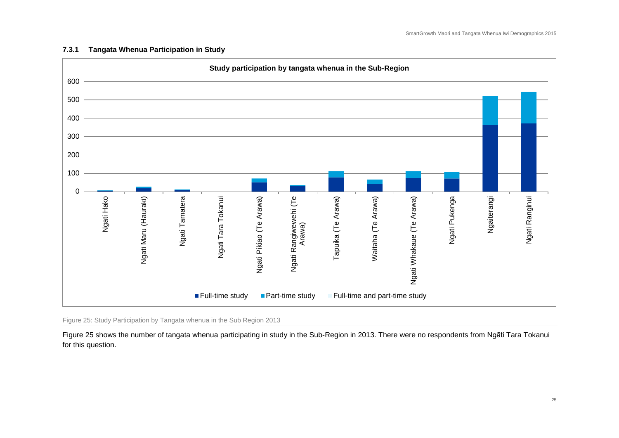

#### **7.3.1 Tangata Whenua Participation in Study**

<span id="page-41-0"></span>Figure 25: Study Participation by Tangata whenua in the Sub Region 2013

Figure 25 shows the number of tangata whenua participating in study in the Sub-Region in 2013. There were no respondents from Ngāti Tara Tokanui for this question.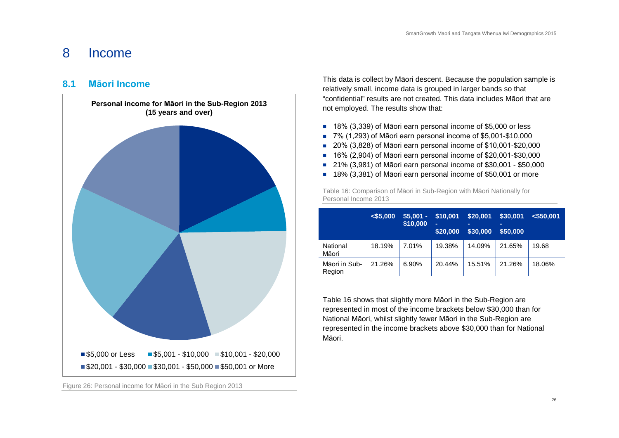### 8 Income

#### **8.1 Māori Income**



<span id="page-42-0"></span>Figure 26: Personal income for Māori in the Sub Region 2013

This data is collect by Māori descent. Because the population sample is relatively small, income data is grouped in larger bands so that "confidential" results are not created. This data includes Māori that are not employed. The results show that:

- 18% (3,339) of Māori earn personal income of \$5,000 or less
- 7% (1,293) of Māori earn personal income of \$5,001-\$10,000
- 20% (3,828) of Māori earn personal income of \$10,001-\$20,000
- 16% (2,904) of Māori earn personal income of \$20,001-\$30,000
- 21% (3,981) of Māori earn personal income of \$30,001 \$50,000
- 18% (3,381) of Māori earn personal income of \$50,001 or more

<span id="page-42-1"></span>Table 16: Comparison of Māori in Sub-Region with Māori Nationally for Personal Income 2013

|                         | $-$ \$5,000 | $$5,001 -$<br>\$10,000 | \$10,001<br>-<br>\$20,000 | \$20,001<br>-<br>\$30,000 | \$30,001<br>\$50,000 | $<$ \$50.001 |
|-------------------------|-------------|------------------------|---------------------------|---------------------------|----------------------|--------------|
| National<br>Māori       | 18.19%      | 7.01%                  | 19.38%                    | 14.09%                    | 21.65%               | 19.68        |
| Māori in Sub-<br>Region | 21.26%      | 6.90%                  | 20.44%                    | 15.51%                    | 21.26%               | 18.06%       |

Table 16 shows that slightly more Māori in the Sub-Region are represented in most of the income brackets below \$30,000 than for National Māori, whilst slightly fewer Māori in the Sub-Region are represented in the income brackets above \$30,000 than for National Māori.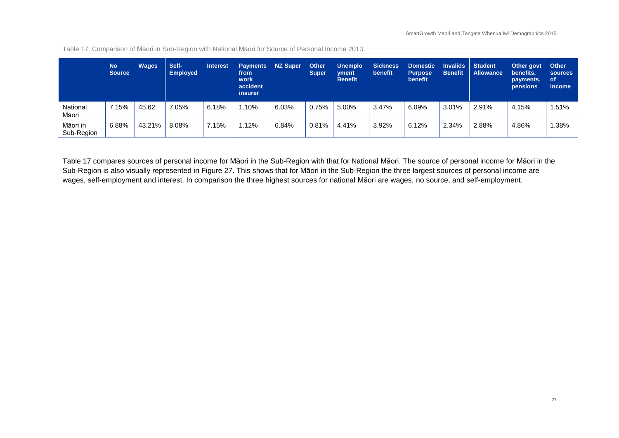|                        | No.<br><b>Source</b> | <b>Wages</b> | Self-<br><b>Employed</b> | <b>Interest</b> | <b>Payments</b><br>from<br>work<br>accident<br><i>insurer</i> | <b>NZ Super</b> | <b>Other</b><br><b>Super</b> | <b>Unemplo</b><br>yment<br><b>Benefit</b> | <b>Sickness</b><br>benefit | <b>Domestic</b><br><b>Purpose</b><br>benefit | <b>Invalids</b><br><b>Benefit</b> | <b>Student</b><br><b>Allowance</b> | Other govt<br>benefits,<br>payments,<br>pensions | <b>Other</b><br><b>sources</b><br><b>of</b><br><i>income</i> |
|------------------------|----------------------|--------------|--------------------------|-----------------|---------------------------------------------------------------|-----------------|------------------------------|-------------------------------------------|----------------------------|----------------------------------------------|-----------------------------------|------------------------------------|--------------------------------------------------|--------------------------------------------------------------|
| National<br>Māori      | 7.15%                | 45.62        | 7.05%                    | 6.18%           | .10%                                                          | 6.03%           | 0.75%                        | 5.00%                                     | 3.47%                      | 6.09%                                        | 3.01%                             | 2.91%                              | 4.15%                                            | 1.51%                                                        |
| Māori in<br>Sub-Region | 6.88%                | 43.21%       | 8.08%                    | 7.15%           | .12%                                                          | 6.84%           | 0.81%                        | 4.41%                                     | 3.92%                      | 6.12%                                        | 2.34%                             | 2.88%                              | 4.86%                                            | 1.38%                                                        |

<span id="page-43-0"></span>Table 17: Comparison of Māori in Sub-Region with National Māori for Source of Personal Income 2013

Table 17 compares sources of personal income for Māori in the Sub-Region with that for National Māori. The source of personal income for Māori in the Sub-Region is also visually represented in Figure 27. This shows that for Māori in the Sub-Region the three largest sources of personal income are wages, self-employment and interest. In comparison the three highest sources for national Māori are wages, no source, and self-employment.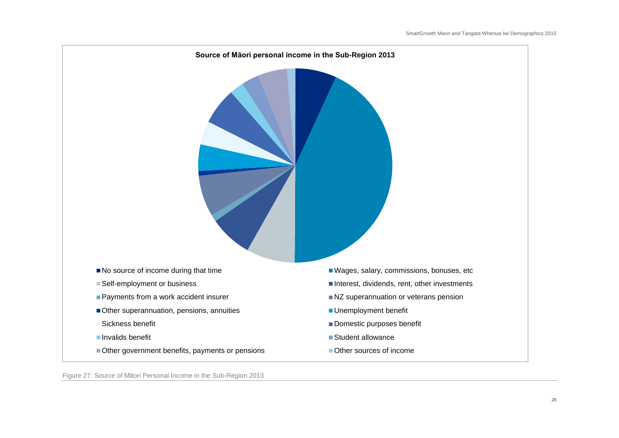<span id="page-44-0"></span>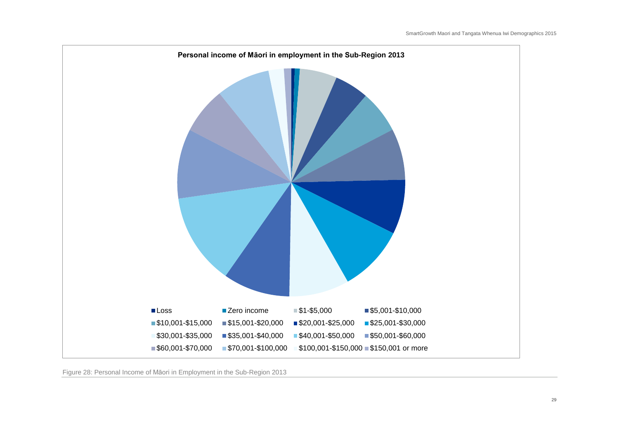

<span id="page-45-0"></span>Figure 28: Personal Income of Māori in Employment in the Sub-Region 2013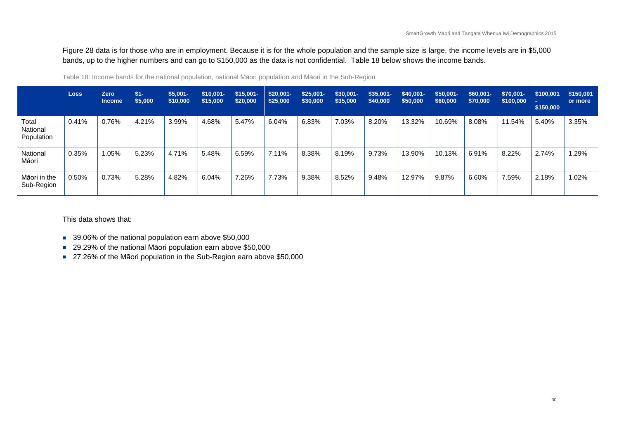[Figure 28](#page-45-0) data is for those who are in employment. Because it is for the whole population and the sample size is large, the income levels are in \$5,000 bands, up to the higher numbers and can go to \$150,000 as the data is not confidential. Table 18 below shows the income bands.

<span id="page-46-0"></span>Table 18: Income bands for the national population, national Māori population and Māori in the Sub-Region

|                                 | <b>Loss</b> | Zero<br><b>Income</b> | $$1-$<br>\$5,000 | $$5,001-$<br>\$10,000 | $$10,001-$<br>\$15,000 | $$15,001-$<br>\$20,000 | $$20,001-$<br>\$25,000 | $$25,001-$<br>\$30,000 | $$30,001-$<br>\$35,000 | $$35,001-$<br>\$40,000 | $$40,001-$<br>\$50,000 | $$50,001-$<br>\$60,000 | $$60,001-$<br>\$70,000 | $$70,001-$<br>\$100,000 | \$100,001<br>\$150,000 | \$150,001<br>or more |
|---------------------------------|-------------|-----------------------|------------------|-----------------------|------------------------|------------------------|------------------------|------------------------|------------------------|------------------------|------------------------|------------------------|------------------------|-------------------------|------------------------|----------------------|
| Total<br>National<br>Population | 0.41%       | 0.76%                 | 4.21%            | 3.99%                 | 4.68%                  | 5.47%                  | 6.04%                  | 6.83%                  | 7.03%                  | 8.20%                  | 13.32%                 | 10.69%                 | 8.08%                  | 11.54%                  | 5.40%                  | 3.35%                |
| National<br>Māori               | 0.35%       | .05%                  | 5.23%            | 4.71%                 | 5.48%                  | 6.59%                  | 7.11%                  | 8.38%                  | 8.19%                  | 9.73%                  | 13.90%                 | 10.13%                 | 6.91%                  | 8.22%                   | 2.74%                  | 1.29%                |
| Māori in the<br>Sub-Region      | 0.50%       | 0.73%                 | 5.28%            | 4.82%                 | 6.04%                  | 7.26%                  | 7.73%                  | 9.38%                  | 8.52%                  | 9.48%                  | 12.97%                 | 9.87%                  | 6.60%                  | 7.59%                   | 2.18%                  | 1.02%                |

This data shows that:

- 39.06% of the national population earn above \$50,000
- 29.29% of the national Māori population earn above \$50,000
- 27.26% of the Māori population in the Sub-Region earn above \$50,000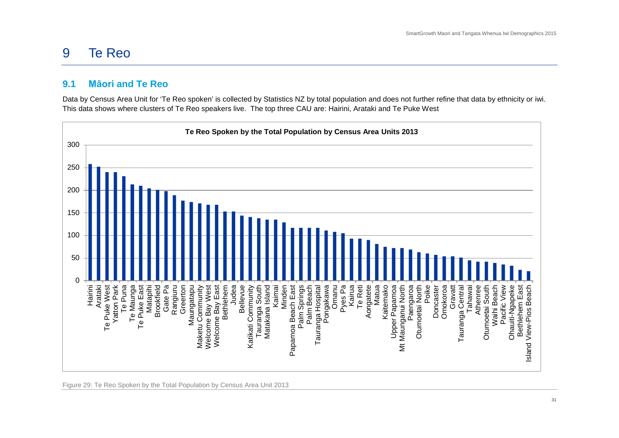# 9 Te Reo

#### **9.1 Māori and Te Reo**

Data by Census Area Unit for 'Te Reo spoken' is collected by Statistics NZ by total population and does not further refine that data by ethnicity or iwi. This data shows where clusters of Te Reo speakers live. The top three CAU are: Hairini, Arataki and Te Puke West

<span id="page-47-0"></span>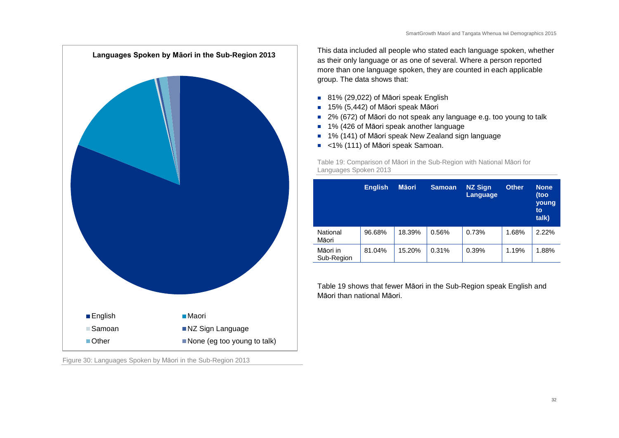

<span id="page-48-0"></span>Figure 30: Languages Spoken by Māori in the Sub-Region 2013

This data included all people who stated each language spoken, whether as their only language or as one of several. Where a person reported more than one language spoken, they are counted in each applicable group. The data shows that:

- 81% (29,022) of Māori speak English
- 15% (5,442) of Māori speak Māori
- 2% (672) of Māori do not speak any language e.g. too young to talk
- 1% (426 of Māori speak another language
- 1% (141) of Māori speak New Zealand sign language
- <1% (111) of Māori speak Samoan.

<span id="page-48-1"></span>Table 19: Comparison of Māori in the Sub-Region with National Māori for Languages Spoken 2013

|                        | <b>English</b> | <b>Māori</b> | <b>Samoan</b> | <b>NZ Sign</b><br>Language | <b>Other</b> | <b>None</b><br>(too<br>young<br>to<br>talk) |
|------------------------|----------------|--------------|---------------|----------------------------|--------------|---------------------------------------------|
| National<br>Māori      | 96.68%         | 18.39%       | 0.56%         | 0.73%                      | 1.68%        | 2.22%                                       |
| Māori in<br>Sub-Region | 81.04%         | 15.20%       | 0.31%         | 0.39%                      | 1.19%        | 1.88%                                       |

Table 19 shows that fewer Māori in the Sub-Region speak English and Māori than national Māori.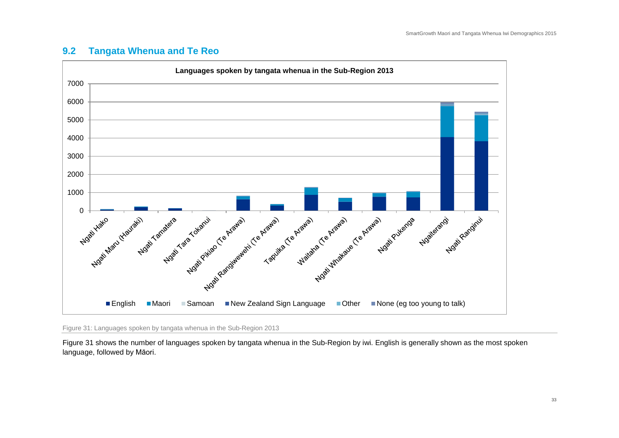

### **9.2 Tangata Whenua and Te Reo**

<span id="page-49-0"></span>Figure 31: Languages spoken by tangata whenua in the Sub-Region 2013

Figure 31 shows the number of languages spoken by tangata whenua in the Sub-Region by iwi. English is generally shown as the most spoken language, followed by Māori.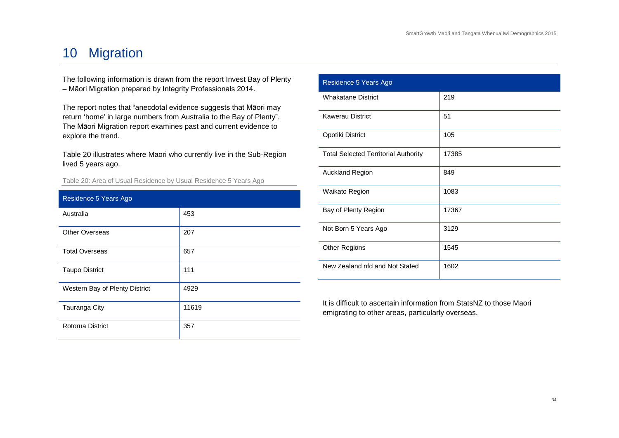# 10 Migration

The following information is drawn from the report Invest Bay of Plenty – Māori Migration prepared by Integrity Professionals 2014.

The report notes that "anecdotal evidence suggests that Māori may return 'home' in large numbers from Australia to the Bay of Plenty". The Māori Migration report examines past and current evidence to explore the trend.

Table 20 illustrates where Maori who currently live in the Sub-Region lived 5 years ago.

<span id="page-50-0"></span>Table 20: Area of Usual Residence by Usual Residence 5 Years Ago

| Residence 5 Years Ago          |       |
|--------------------------------|-------|
| Australia                      | 453   |
| <b>Other Overseas</b>          | 207   |
| <b>Total Overseas</b>          | 657   |
| <b>Taupo District</b>          | 111   |
| Western Bay of Plenty District | 4929  |
| <b>Tauranga City</b>           | 11619 |
| Rotorua District               | 357   |

| Residence 5 Years Ago                       |       |
|---------------------------------------------|-------|
| <b>Whakatane District</b>                   | 219   |
| <b>Kawerau District</b>                     | 51    |
| Opotiki District                            | 105   |
| <b>Total Selected Territorial Authority</b> | 17385 |
| <b>Auckland Region</b>                      | 849   |
| Waikato Region                              | 1083  |
| Bay of Plenty Region                        | 17367 |
| Not Born 5 Years Ago                        | 3129  |
| <b>Other Regions</b>                        | 1545  |
| New Zealand nfd and Not Stated              | 1602  |

It is difficult to ascertain information from StatsNZ to those Maori emigrating to other areas, particularly overseas.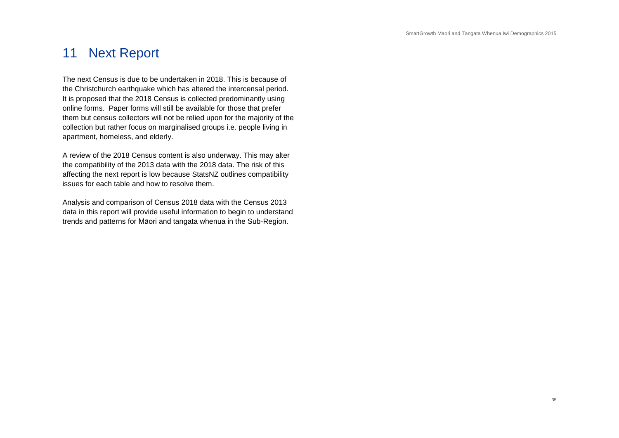### 11 Next Report

The next Census is due to be undertaken in 2018. This is because of the Christchurch earthquake which has altered the intercensal period. It is proposed that the 2018 Census is collected predominantly using online forms. Paper forms will still be available for those that prefer them but census collectors will not be relied upon for the majority of the collection but rather focus on marginalised groups i.e. people living in apartment, homeless, and elderly.

A review of the 2018 Census content is also underway. This may alter the compatibility of the 2013 data with the 2018 data. The risk of this affecting the next report is low because StatsNZ outlines compatibility issues for each table and how to resolve them.

Analysis and comparison of Census 2018 data with the Census 2013 data in this report will provide useful information to begin to understand trends and patterns for Māori and tangata whenua in the Sub-Region.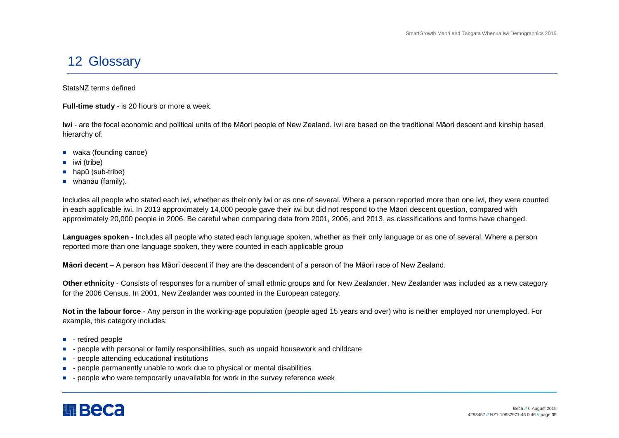## 12 Glossary

StatsNZ terms defined

**Full-time study** - is 20 hours or more a week.

**Iwi** - are the focal economic and political units of the Māori people of New Zealand. Iwi are based on the traditional Māori descent and kinship based hierarchy of:

- waka (founding canoe)
- $\blacksquare$  iwi (tribe)
- hapū (sub-tribe)
- whānau (family).

Includes all people who stated each iwi, whether as their only iwi or as one of several. Where a person reported more than one iwi, they were counted in each applicable iwi. In 2013 approximately 14,000 people gave their iwi but did not respond to the Māori descent question, compared with approximately 20,000 people in 2006. Be careful when comparing data from 2001, 2006, and 2013, as classifications and forms have changed.

**Languages spoken -** Includes all people who stated each language spoken, whether as their only language or as one of several. Where a person reported more than one language spoken, they were counted in each applicable group

**Māori decent** – A person has Māori descent if they are the descendent of a person of the Māori race of New Zealand.

**Other ethnicity** - Consists of responses for a number of small ethnic groups and for New Zealander. New Zealander was included as a new category for the 2006 Census. In 2001, New Zealander was counted in the European category.

**Not in the labour force** - Any person in the working-age population (people aged 15 years and over) who is neither employed nor unemployed. For example, this category includes:

- retired people
- **-** people with personal or family responsibilities, such as unpaid housework and childcare
- $\blacksquare$  people attending educational institutions
- **-** people permanently unable to work due to physical or mental disabilities
- $\blacksquare$  people who were temporarily unavailable for work in the survey reference week

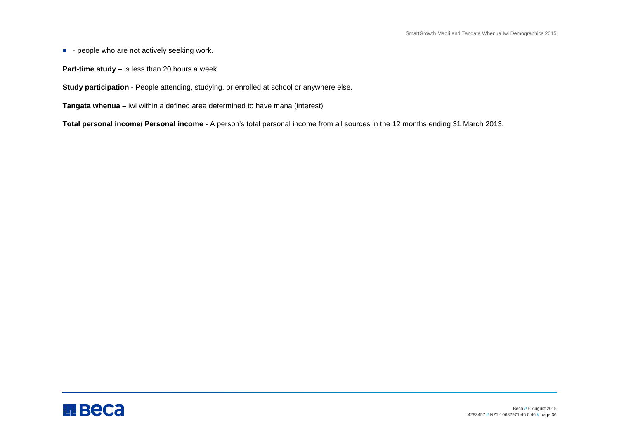$\blacksquare$  - people who are not actively seeking work.

**Part-time study** – is less than 20 hours a week

**Study participation -** People attending, studying, or enrolled at school or anywhere else.

**Tangata whenua –** iwi within a defined area determined to have mana (interest)

**Total personal income/ Personal income** - A person's total personal income from all sources in the 12 months ending 31 March 2013.

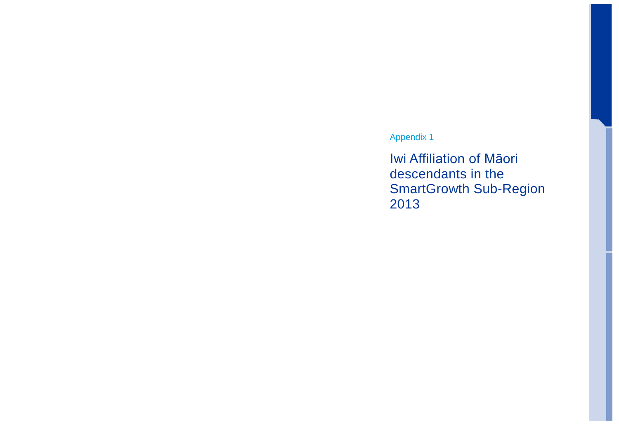Appendix 1

Iwi Affiliation of Māori descendants in the SmartGrowth Sub-Region 2013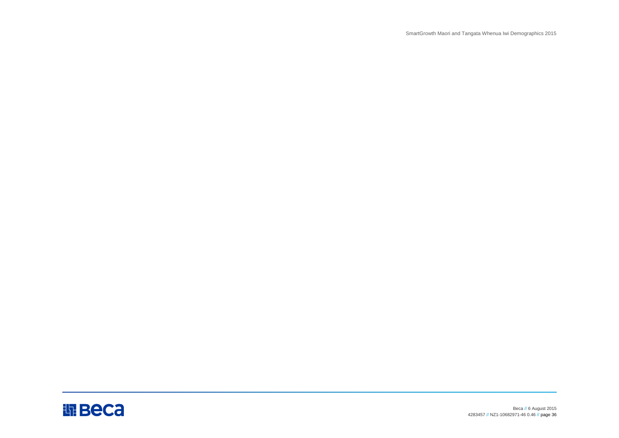SmartGrowth Maori and Tangata Whenua Iwi Demographics 2015

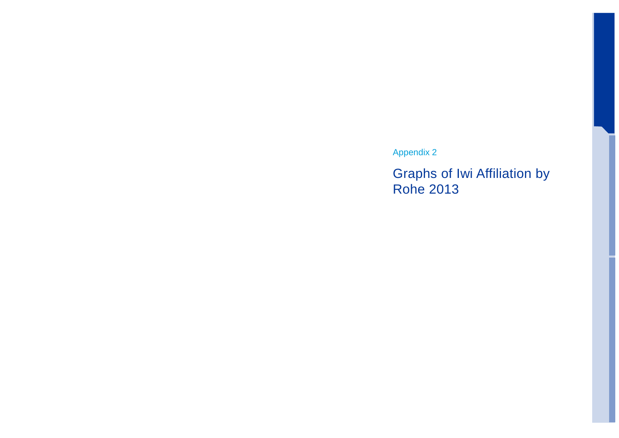Appendix 2

Graphs of Iwi Affiliation by Rohe 2013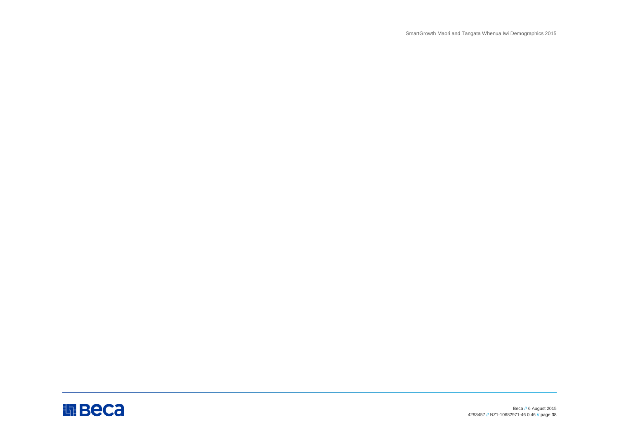SmartGrowth Maori and Tangata Whenua Iwi Demographics 2015

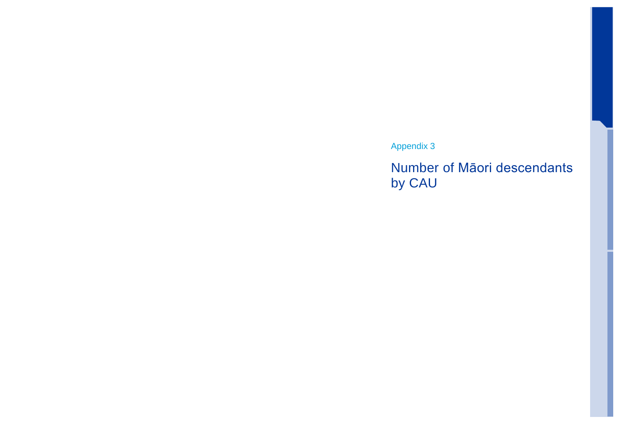Appendix 3

Number of Māori descendants by CAU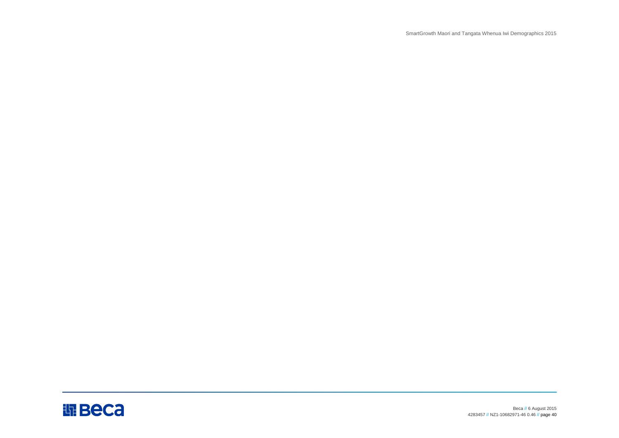SmartGrowth Maori and Tangata Whenua Iwi Demographics 2015